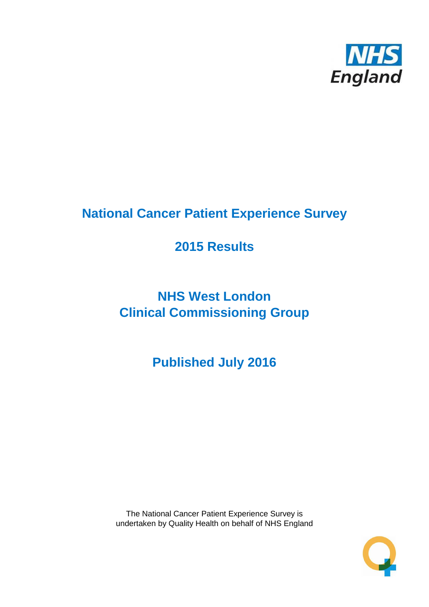

# **National Cancer Patient Experience Survey**

# **2015 Results**

# **NHS West London Clinical Commissioning Group**

**Published July 2016**

The National Cancer Patient Experience Survey is undertaken by Quality Health on behalf of NHS England

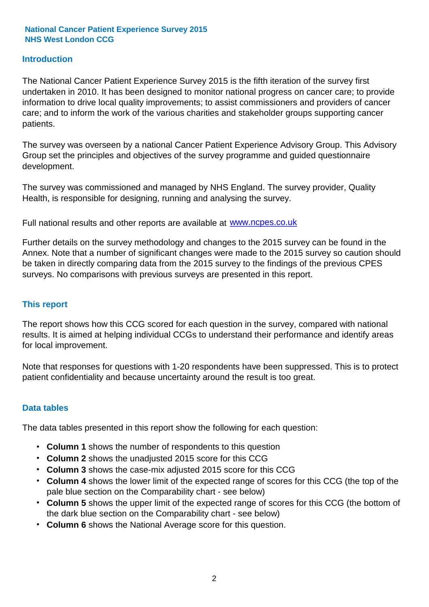### **Introduction**

The National Cancer Patient Experience Survey 2015 is the fifth iteration of the survey first undertaken in 2010. It has been designed to monitor national progress on cancer care; to provide information to drive local quality improvements; to assist commissioners and providers of cancer care; and to inform the work of the various charities and stakeholder groups supporting cancer patients.

The survey was overseen by a national Cancer Patient Experience Advisory Group. This Advisory Group set the principles and objectives of the survey programme and guided questionnaire development.

The survey was commissioned and managed by NHS England. The survey provider, Quality Health, is responsible for designing, running and analysing the survey.

Full national results and other reports are available at www.ncpes.co.uk

Further details on the survey methodology and changes to the 2015 survey can be found in the Annex. Note that a number of significant changes were made to the 2015 survey so caution should be taken in directly comparing data from the 2015 survey to the findings of the previous CPES surveys. No comparisons with previous surveys are presented in this report.

#### **This report**

The report shows how this CCG scored for each question in the survey, compared with national results. It is aimed at helping individual CCGs to understand their performance and identify areas for local improvement.

Note that responses for questions with 1-20 respondents have been suppressed. This is to protect patient confidentiality and because uncertainty around the result is too great.

#### **Data tables**

The data tables presented in this report show the following for each question:

- **Column 1** shows the number of respondents to this question
- **Column 2** shows the unadjusted 2015 score for this CCG
- **Column 3** shows the case-mix adjusted 2015 score for this CCG
- **Column 4** shows the lower limit of the expected range of scores for this CCG (the top of the pale blue section on the Comparability chart - see below)
- **Column 5** shows the upper limit of the expected range of scores for this CCG (the bottom of the dark blue section on the Comparability chart - see below)
- **Column 6** shows the National Average score for this question.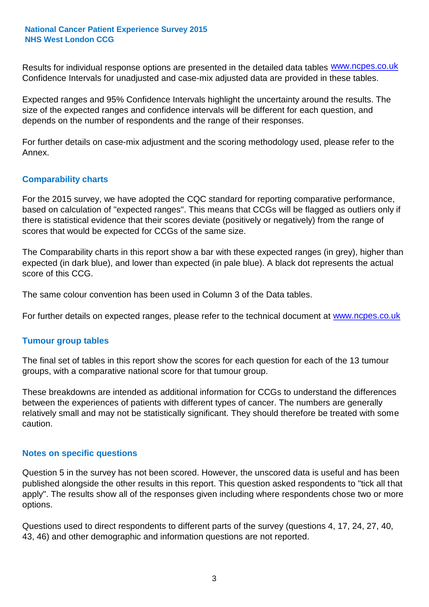Results for individual response options are presented in the detailed data tables **WWW.ncpes.co.uk** Confidence Intervals for unadjusted and case-mix adjusted data are provided in these tables.

Expected ranges and 95% Confidence Intervals highlight the uncertainty around the results. The size of the expected ranges and confidence intervals will be different for each question, and depends on the number of respondents and the range of their responses.

For further details on case-mix adjustment and the scoring methodology used, please refer to the Annex.

### **Comparability charts**

For the 2015 survey, we have adopted the CQC standard for reporting comparative performance, based on calculation of "expected ranges". This means that CCGs will be flagged as outliers only if there is statistical evidence that their scores deviate (positively or negatively) from the range of scores that would be expected for CCGs of the same size.

The Comparability charts in this report show a bar with these expected ranges (in grey), higher than expected (in dark blue), and lower than expected (in pale blue). A black dot represents the actual score of this CCG.

The same colour convention has been used in Column 3 of the Data tables.

For further details on expected ranges, please refer to the technical document at **www.ncpes.co.uk** 

#### **Tumour group tables**

The final set of tables in this report show the scores for each question for each of the 13 tumour groups, with a comparative national score for that tumour group.

These breakdowns are intended as additional information for CCGs to understand the differences between the experiences of patients with different types of cancer. The numbers are generally relatively small and may not be statistically significant. They should therefore be treated with some caution.

#### **Notes on specific questions**

Question 5 in the survey has not been scored. However, the unscored data is useful and has been published alongside the other results in this report. This question asked respondents to "tick all that apply". The results show all of the responses given including where respondents chose two or more options.

Questions used to direct respondents to different parts of the survey (questions 4, 17, 24, 27, 40, 43, 46) and other demographic and information questions are not reported.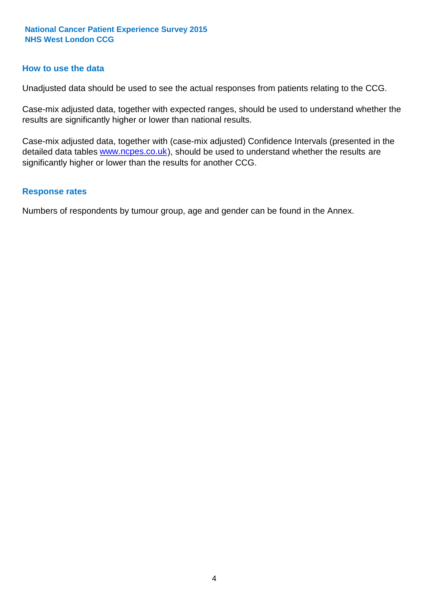#### **How to use the data**

Unadjusted data should be used to see the actual responses from patients relating to the CCG.

Case-mix adjusted data, together with expected ranges, should be used to understand whether the results are significantly higher or lower than national results.

Case-mix adjusted data, together with (case-mix adjusted) Confidence Intervals (presented in the detailed data tables **www.ncpes.co.uk**), should be used to understand whether the results are significantly higher or lower than the results for another CCG.

#### **Response rates**

Numbers of respondents by tumour group, age and gender can be found in the Annex.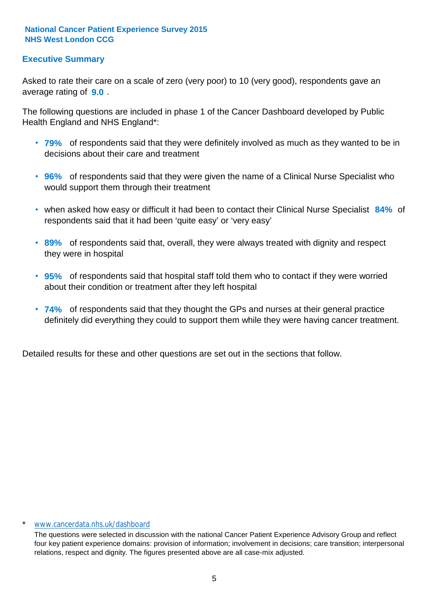## **Executive Summary**

average rating of **9.0**. Asked to rate their care on a scale of zero (very poor) to 10 (very good), respondents gave an

The following questions are included in phase 1 of the Cancer Dashboard developed by Public Health England and NHS England\*:

- **79%** of respondents said that they were definitely involved as much as they wanted to be in decisions about their care and treatment
- **96%** of respondents said that they were given the name of a Clinical Nurse Specialist who would support them through their treatment
- when asked how easy or difficult it had been to contact their Clinical Nurse Specialist 84% of respondents said that it had been 'quite easy' or 'very easy'
- **89%** of respondents said that, overall, they were always treated with dignity and respect they were in hospital
- **95%** of respondents said that hospital staff told them who to contact if they were worried about their condition or treatment after they left hospital
- **74%** of respondents said that they thought the GPs and nurses at their general practice definitely did everything they could to support them while they were having cancer treatment.

Detailed results for these and other questions are set out in the sections that follow.

#### www.cancerdata.nhs.uk/dashboard

The questions were selected in discussion with the national Cancer Patient Experience Advisory Group and reflect four key patient experience domains: provision of information; involvement in decisions; care transition; interpersonal relations, respect and dignity. The figures presented above are all case-mix adjusted.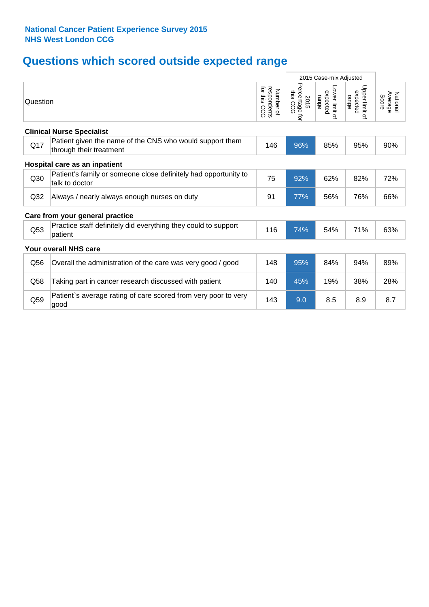# **Questions which scored outside expected range**

|                 |                                                                                     |                                              | 2015 Case-mix Adjusted              |                                     |                                     |                              |
|-----------------|-------------------------------------------------------------------------------------|----------------------------------------------|-------------------------------------|-------------------------------------|-------------------------------------|------------------------------|
| Question        |                                                                                     | for this<br>respondents<br>Number of<br>င္ပင | Percentage<br>this CCG<br>2015<br>ţ | Lower limit of<br>expected<br>range | Upper limit of<br>expected<br>range | National<br>Average<br>Score |
|                 | <b>Clinical Nurse Specialist</b>                                                    |                                              |                                     |                                     |                                     |                              |
| Q17             | Patient given the name of the CNS who would support them<br>through their treatment | 146                                          | 96%                                 | 85%                                 | 95%                                 | 90%                          |
|                 | Hospital care as an inpatient                                                       |                                              |                                     |                                     |                                     |                              |
| Q30             | Patient's family or someone close definitely had opportunity to<br>talk to doctor   | 75                                           | 92%                                 | 62%                                 | 82%                                 | 72%                          |
| Q <sub>32</sub> | Always / nearly always enough nurses on duty                                        | 91                                           | 77%                                 | 56%                                 | 76%                                 | 66%                          |
|                 | Care from your general practice                                                     |                                              |                                     |                                     |                                     |                              |
| Q53             | Practice staff definitely did everything they could to support<br>patient           | 116                                          | 74%                                 | 54%                                 | 71%                                 | 63%                          |
|                 | Your overall NHS care                                                               |                                              |                                     |                                     |                                     |                              |
| Q56             | Overall the administration of the care was very good / good                         | 148                                          | 95%                                 | 84%                                 | 94%                                 | 89%                          |
| Q58             | Taking part in cancer research discussed with patient                               | 140                                          | 45%                                 | 19%                                 | 38%                                 | 28%                          |
| Q59             | Patient's average rating of care scored from very poor to very<br>good              | 143                                          | 9.0                                 | 8.5                                 | 8.9                                 | 8.7                          |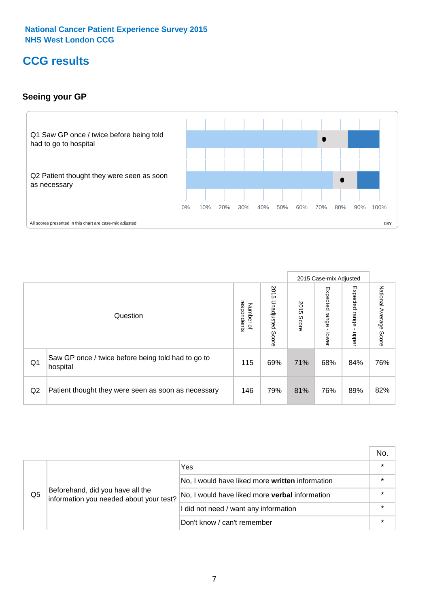## **CCG results**

## **Seeing your GP**



|    |                                                                |                                         |                             |               | 2015 Case-mix Adjusted     |                            |                           |
|----|----------------------------------------------------------------|-----------------------------------------|-----------------------------|---------------|----------------------------|----------------------------|---------------------------|
|    | Question                                                       | respondents<br>Number<br>$\overline{a}$ | 2015<br>Unadjusted<br>Score | 2015<br>Score | Expected<br>range<br>lower | Expected<br>range<br>nbber | National Average<br>Score |
| Q1 | Saw GP once / twice before being told had to go to<br>hospital | 115                                     | 69%                         | 71%           | 68%                        | 84%                        | 76%                       |
| Q2 | Patient thought they were seen as soon as necessary            | 146                                     | 79%                         | 81%           | 76%                        | 89%                        | 82%                       |

|    |                                                                             |                                                 | No. |
|----|-----------------------------------------------------------------------------|-------------------------------------------------|-----|
|    |                                                                             | Yes                                             |     |
|    | Beforehand, did you have all the<br>information you needed about your test? | No, I would have liked more written information |     |
| Q5 |                                                                             | No, I would have liked more verbal information  |     |
|    |                                                                             | I did not need / want any information           |     |
|    |                                                                             | Don't know / can't remember                     |     |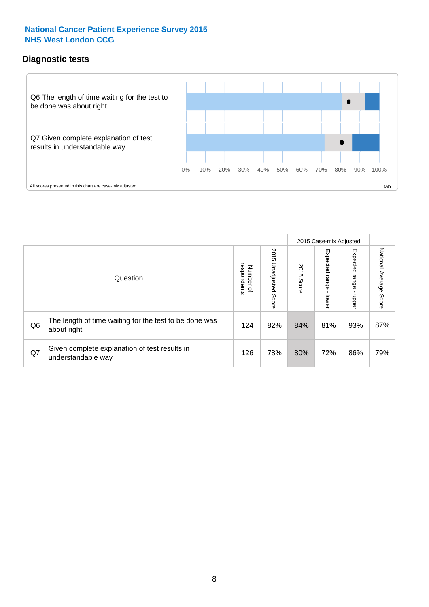## **Diagnostic tests**



|                |                                                                       |                                   |                             |               | 2015 Case-mix Adjusted  |                         |                           |
|----------------|-----------------------------------------------------------------------|-----------------------------------|-----------------------------|---------------|-------------------------|-------------------------|---------------------------|
|                | Question                                                              | respondents<br>Number<br>$\Omega$ | 2015<br>Unadjusted<br>Score | 2015<br>Score | Expected range<br>lower | Expected range<br>nbber | National Average<br>Score |
| Q <sub>6</sub> | The length of time waiting for the test to be done was<br>about right | 124                               | 82%                         | 84%           | 81%                     | 93%                     | 87%                       |
| Q7             | Given complete explanation of test results in<br>understandable way   | 126                               | 78%                         | 80%           | 72%                     | 86%                     | 79%                       |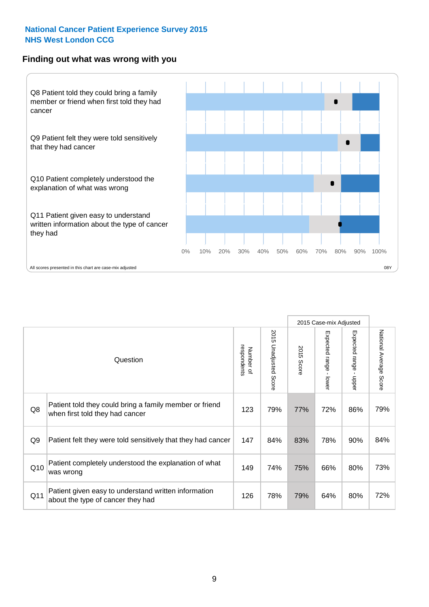#### **Finding out what was wrong with you**



|                |                                                                                            |                          |                       |               | 2015 Case-mix Adjusted                  |                                           |                        |
|----------------|--------------------------------------------------------------------------------------------|--------------------------|-----------------------|---------------|-----------------------------------------|-------------------------------------------|------------------------|
|                | Question                                                                                   | respondents<br>Number of | 2015 Unadjusted Score | 2015<br>Score | Expected range<br>$\mathbf{r}$<br>lower | Expected range<br>$\blacksquare$<br>nbber | National Average Score |
| Q8             | Patient told they could bring a family member or friend<br>when first told they had cancer | 123                      | 79%                   | 77%           | 72%                                     | 86%                                       | 79%                    |
| Q <sub>9</sub> | Patient felt they were told sensitively that they had cancer                               | 147                      | 84%                   | 83%           | 78%                                     | 90%                                       | 84%                    |
| Q10            | Patient completely understood the explanation of what<br>was wrong                         | 149                      | 74%                   | 75%           | 66%                                     | 80%                                       | 73%                    |
| Q11            | Patient given easy to understand written information<br>about the type of cancer they had  | 126                      | 78%                   | 79%           | 64%                                     | 80%                                       | 72%                    |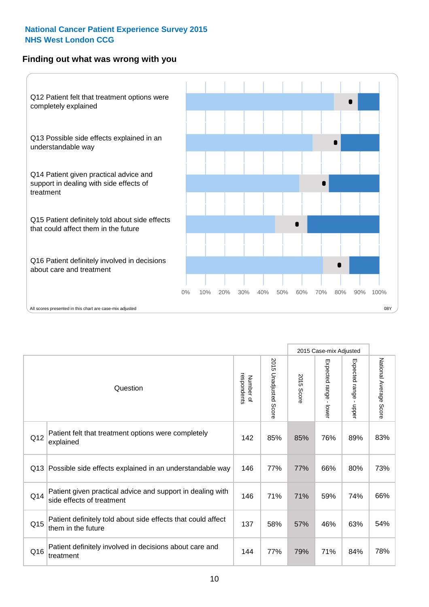## **Finding out what was wrong with you**



|          |                                                                                         |                          |                                 |               | 2015 Case-mix Adjusted                    |                        |                        |
|----------|-----------------------------------------------------------------------------------------|--------------------------|---------------------------------|---------------|-------------------------------------------|------------------------|------------------------|
| Question |                                                                                         | Number of<br>respondents | 2015<br><b>Unadjusted Score</b> | 2015<br>Score | Expected range<br>$\blacksquare$<br>lower | Expected range - upper | National Average Score |
| Q12      | Patient felt that treatment options were completely<br>explained                        | 142                      | 85%                             | 85%           | 76%                                       | 89%                    | 83%                    |
| Q13      | Possible side effects explained in an understandable way                                | 146                      | 77%                             | 77%           | 66%                                       | 80%                    | 73%                    |
| Q14      | Patient given practical advice and support in dealing with<br>side effects of treatment | 146                      | 71%                             | 71%           | 59%                                       | 74%                    | 66%                    |
| Q15      | Patient definitely told about side effects that could affect<br>them in the future      | 137                      | 58%                             | 57%           | 46%                                       | 63%                    | 54%                    |
| Q16      | Patient definitely involved in decisions about care and<br>treatment                    | 144                      | 77%                             | 79%           | 71%                                       | 84%                    | 78%                    |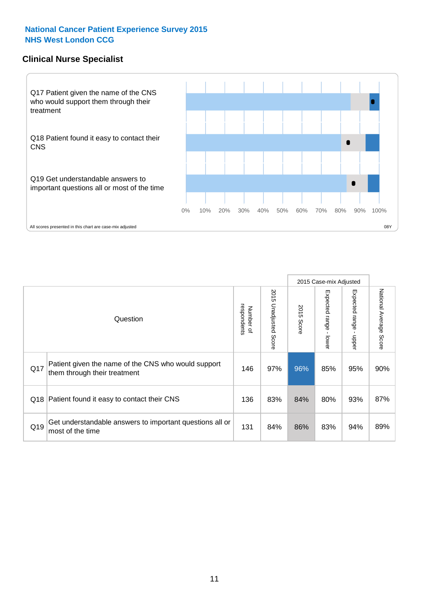### **Clinical Nurse Specialist**



|     |                                                                                     |                          |                       |               | 2015 Case-mix Adjusted  |                         |                        |
|-----|-------------------------------------------------------------------------------------|--------------------------|-----------------------|---------------|-------------------------|-------------------------|------------------------|
|     | Question                                                                            | respondents<br>Number of | 2015 Unadjusted Score | 2015<br>Score | Expected range<br>lower | Expected range<br>nbber | National Average Score |
| Q17 | Patient given the name of the CNS who would support<br>them through their treatment | 146                      | 97%                   | 96%           | 85%                     | 95%                     | 90%                    |
|     | Q18 Patient found it easy to contact their CNS                                      | 136                      | 83%                   | 84%           | 80%                     | 93%                     | 87%                    |
| Q19 | Get understandable answers to important questions all or<br>most of the time        | 131                      | 84%                   | 86%           | 83%                     | 94%                     | 89%                    |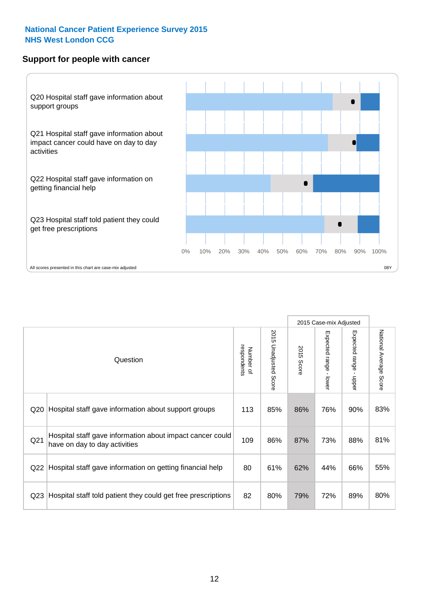#### **Support for people with cancer**



|                 |                                                                                            |                          |                                 |               | 2015 Case-mix Adjusted  |                                         |                        |
|-----------------|--------------------------------------------------------------------------------------------|--------------------------|---------------------------------|---------------|-------------------------|-----------------------------------------|------------------------|
|                 | Question                                                                                   | respondents<br>Number of | 2015<br><b>Unadjusted Score</b> | 2015<br>Score | Expected range<br>lower | Expected range<br>$\mathbf{I}$<br>nbber | National Average Score |
| Q <sub>20</sub> | Hospital staff gave information about support groups                                       | 113                      | 85%                             | 86%           | 76%                     | 90%                                     | 83%                    |
| Q <sub>21</sub> | Hospital staff gave information about impact cancer could<br>have on day to day activities | 109                      | 86%                             | 87%           | 73%                     | 88%                                     | 81%                    |
| Q22             | Hospital staff gave information on getting financial help                                  | 80                       | 61%                             | 62%           | 44%                     | 66%                                     | 55%                    |
| Q <sub>23</sub> | Hospital staff told patient they could get free prescriptions                              | 82                       | 80%                             | 79%           | 72%                     | 89%                                     | 80%                    |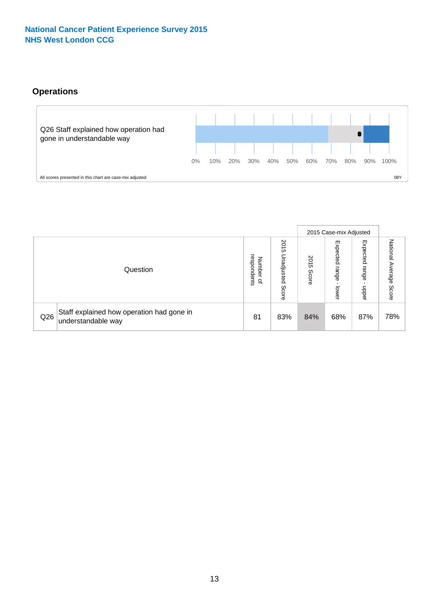## **Operations**



|     |                                                                 |                                         |                             |                    | 2015 Case-mix Adjusted     |                            |                              |
|-----|-----------------------------------------------------------------|-----------------------------------------|-----------------------------|--------------------|----------------------------|----------------------------|------------------------------|
|     | Question                                                        | respondents<br>Number<br>$\overline{a}$ | 2015<br>Unadjusted<br>Score | 201<br>CΠ<br>Score | Expected<br>range<br>lower | Expected<br>range<br>doper | National<br>Average<br>Score |
| Q26 | Staff explained how operation had gone in<br>understandable way | 81                                      | 83%                         | 84%                | 68%                        | 87%                        | 78%                          |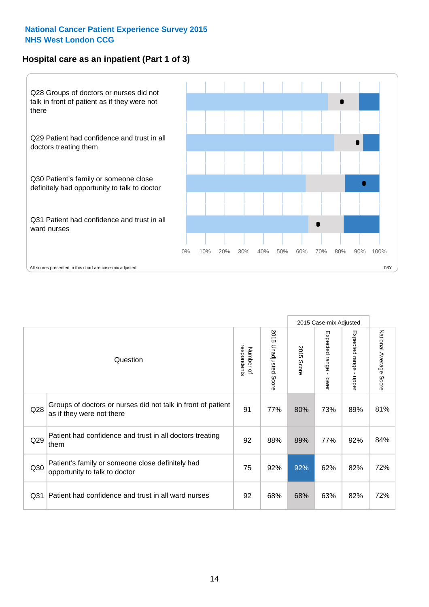## **Hospital care as an inpatient (Part 1 of 3)**



All scores presented in this chart are case-mix adjusted  $08Y$ 

|                 |                                                                                           |                          |                       |                      | 2015 Case-mix Adjusted                    |                                           |                        |
|-----------------|-------------------------------------------------------------------------------------------|--------------------------|-----------------------|----------------------|-------------------------------------------|-------------------------------------------|------------------------|
|                 | Question                                                                                  | respondents<br>Number of | 2015 Unadjusted Score | 2015<br><b>Score</b> | Expected range<br>$\blacksquare$<br>lower | Expected range<br>$\blacksquare$<br>nbber | National Average Score |
| Q28             | Groups of doctors or nurses did not talk in front of patient<br>as if they were not there | 91                       | 77%                   | 80%                  | 73%                                       | 89%                                       | 81%                    |
| Q29             | Patient had confidence and trust in all doctors treating<br>them                          | 92                       | 88%                   | 89%                  | 77%                                       | 92%                                       | 84%                    |
| Q30             | Patient's family or someone close definitely had<br>opportunity to talk to doctor         | 75                       | 92%                   | 92%                  | 62%                                       | 82%                                       | 72%                    |
| Q <sub>31</sub> | Patient had confidence and trust in all ward nurses                                       | 92                       | 68%                   | 68%                  | 63%                                       | 82%                                       | 72%                    |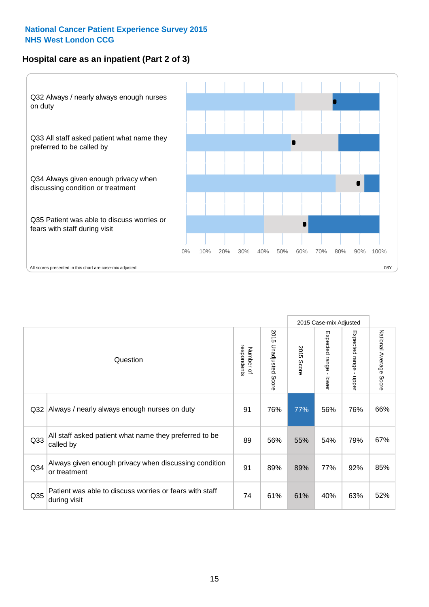## **Hospital care as an inpatient (Part 2 of 3)**



|                 |                                                                         |                          |                          |               | 2015 Case-mix Adjusted |                                           |                        |
|-----------------|-------------------------------------------------------------------------|--------------------------|--------------------------|---------------|------------------------|-------------------------------------------|------------------------|
|                 | Question                                                                | respondents<br>Number of | 2015<br>Unadjusted Score | 2015<br>Score | Expected range - lower | Expected range<br>$\blacksquare$<br>nbber | National Average Score |
| Q <sub>32</sub> | Always / nearly always enough nurses on duty                            | 91                       | 76%                      | 77%           | 56%                    | 76%                                       | 66%                    |
| Q <sub>33</sub> | All staff asked patient what name they preferred to be<br>called by     | 89                       | 56%                      | 55%           | 54%                    | 79%                                       | 67%                    |
| Q34             | Always given enough privacy when discussing condition<br>or treatment   | 91                       | 89%                      | 89%           | 77%                    | 92%                                       | 85%                    |
| Q35             | Patient was able to discuss worries or fears with staff<br>during visit | 74                       | 61%                      | 61%           | 40%                    | 63%                                       | 52%                    |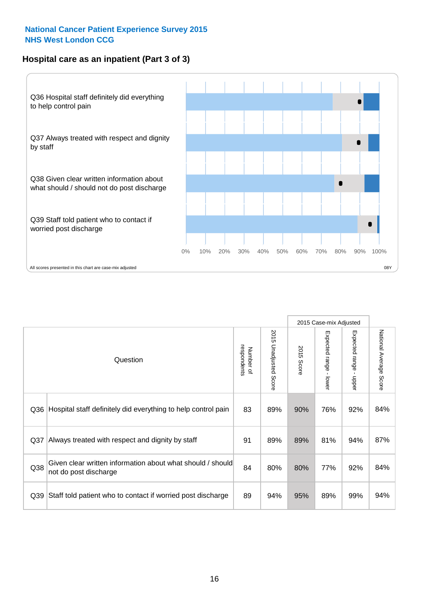## **Hospital care as an inpatient (Part 3 of 3)**



|                 |                                                                                     |                          |                                 |                      | 2015 Case-mix Adjusted                    |                           |                        |
|-----------------|-------------------------------------------------------------------------------------|--------------------------|---------------------------------|----------------------|-------------------------------------------|---------------------------|------------------------|
|                 | Question                                                                            | respondents<br>Number of | 2015<br><b>Unadjusted Score</b> | 2015<br><b>Score</b> | Expected range<br>$\blacksquare$<br>lower | Expected range -<br>nbber | National Average Score |
| Q36             | Hospital staff definitely did everything to help control pain                       | 83                       | 89%                             | 90%                  | 76%                                       | 92%                       | 84%                    |
| Q <sub>37</sub> | Always treated with respect and dignity by staff                                    | 91                       | 89%                             | 89%                  | 81%                                       | 94%                       | 87%                    |
| Q38             | Given clear written information about what should / should<br>not do post discharge | 84                       | 80%                             | 80%                  | 77%                                       | 92%                       | 84%                    |
| Q39             | Staff told patient who to contact if worried post discharge                         | 89                       | 94%                             | 95%                  | 89%                                       | 99%                       | 94%                    |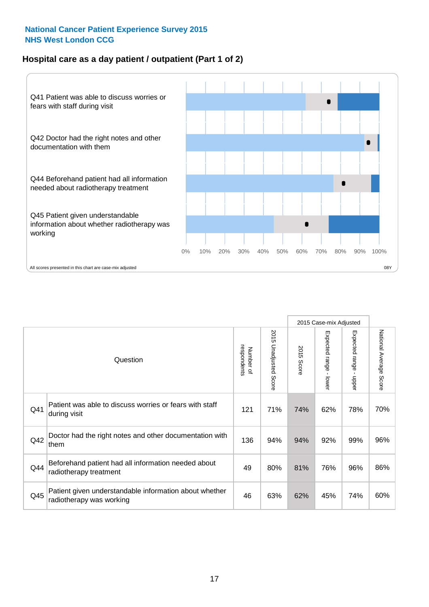## **Hospital care as a day patient / outpatient (Part 1 of 2)**



|     |                                                                                    |                          |                                 | 2015 Case-mix Adjusted |                                         |                                         |                        |
|-----|------------------------------------------------------------------------------------|--------------------------|---------------------------------|------------------------|-----------------------------------------|-----------------------------------------|------------------------|
|     | Question                                                                           | respondents<br>Number of | 2015<br><b>Unadjusted Score</b> | 2015<br><b>Score</b>   | Expected range<br>$\mathbf{r}$<br>lower | Expected range<br>$\mathbf{I}$<br>nbber | National Average Score |
| Q41 | Patient was able to discuss worries or fears with staff<br>during visit            | 121                      | 71%                             | 74%                    | 62%                                     | 78%                                     | 70%                    |
| Q42 | Doctor had the right notes and other documentation with<br>them                    | 136                      | 94%                             | 94%                    | 92%                                     | 99%                                     | 96%                    |
| Q44 | Beforehand patient had all information needed about<br>radiotherapy treatment      | 49                       | 80%                             | 81%                    | 76%                                     | 96%                                     | 86%                    |
| Q45 | Patient given understandable information about whether<br>radiotherapy was working | 46                       | 63%                             | 62%                    | 45%                                     | 74%                                     | 60%                    |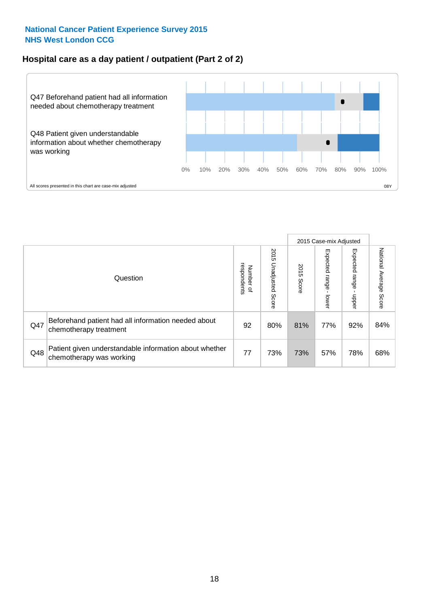## **Hospital care as a day patient / outpatient (Part 2 of 2)**



|     |                                                                                    |                                       |                             | 2015 Case-mix Adjusted |                              |                         |                           |
|-----|------------------------------------------------------------------------------------|---------------------------------------|-----------------------------|------------------------|------------------------------|-------------------------|---------------------------|
|     | Question                                                                           | respondents<br>Number<br>$\mathbf{Q}$ | 2015<br>Unadjusted<br>Score | 2015<br>Score          | Expected<br>I range<br>lower | Expected range<br>doper | National Average<br>Score |
| Q47 | Beforehand patient had all information needed about<br>chemotherapy treatment      | 92                                    | 80%                         | 81%                    | 77%                          | 92%                     | 84%                       |
| Q48 | Patient given understandable information about whether<br>chemotherapy was working | 77                                    | 73%                         | 73%                    | 57%                          | 78%                     | 68%                       |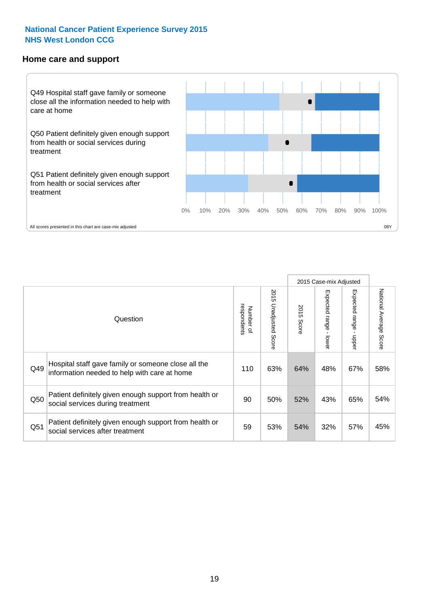#### **Home care and support**



All scores presented in this chart are case-mix adjusted

|                 |                                                                                                     |                          |                          |               | 2015 Case-mix Adjusted  |                         |                        |
|-----------------|-----------------------------------------------------------------------------------------------------|--------------------------|--------------------------|---------------|-------------------------|-------------------------|------------------------|
|                 | Question                                                                                            | respondents<br>Number of | 2015<br>Unadjusted Score | 2015<br>Score | Expected range<br>lower | Expected range<br>nbber | National Average Score |
| Q49             | Hospital staff gave family or someone close all the<br>information needed to help with care at home | 110                      | 63%                      | 64%           | 48%                     | 67%                     | 58%                    |
| Q50             | Patient definitely given enough support from health or<br>social services during treatment          | 90                       | 50%                      | 52%           | 43%                     | 65%                     | 54%                    |
| Q <sub>51</sub> | Patient definitely given enough support from health or<br>social services after treatment           | 59                       | 53%                      | 54%           | 32%                     | 57%                     | 45%                    |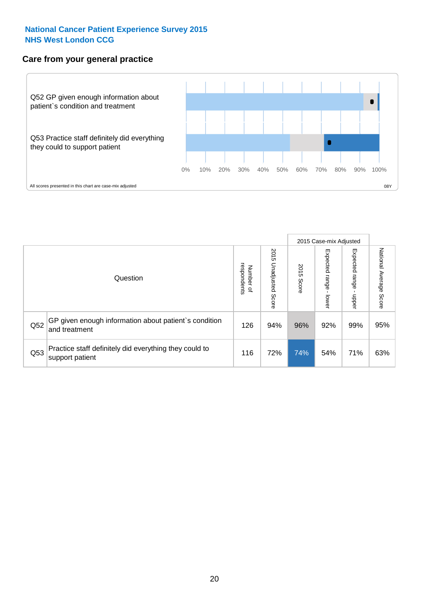### **Care from your general practice**



|     |                                                                           |                                              |                             | 2015 Case-mix Adjusted |                                    |                           |                           |
|-----|---------------------------------------------------------------------------|----------------------------------------------|-----------------------------|------------------------|------------------------------------|---------------------------|---------------------------|
|     | Question                                                                  | respondents<br>Number<br>$\overline{\sigma}$ | 2015<br>Unadjusted<br>Score | 2015<br>Score          | Expected<br><b>Irange</b><br>lower | Expected<br>ange<br>doper | National Average<br>Score |
| Q52 | GP given enough information about patient's condition<br>and treatment    | 126                                          | 94%                         | 96%                    | 92%                                | 99%                       | 95%                       |
| Q53 | Practice staff definitely did everything they could to<br>support patient | 116                                          | 72%                         | 74%                    | 54%                                | 71%                       | 63%                       |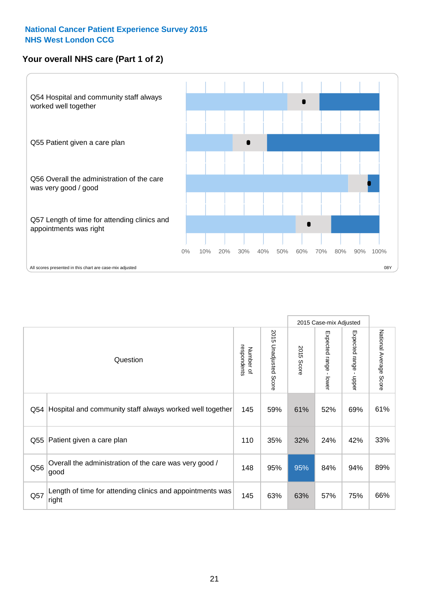## **Your overall NHS care (Part 1 of 2)**



|     |                                                                    |                          |                                 | 2015 Case-mix Adjusted |                                           |                                           |                        |
|-----|--------------------------------------------------------------------|--------------------------|---------------------------------|------------------------|-------------------------------------------|-------------------------------------------|------------------------|
|     | Question                                                           | respondents<br>Number of | 2015<br><b>Unadjusted Score</b> | 2015<br><b>Score</b>   | Expected range<br>$\blacksquare$<br>lower | Expected range<br>$\blacksquare$<br>nbber | National Average Score |
| Q54 | Hospital and community staff always worked well together           | 145                      | 59%                             | 61%                    | 52%                                       | 69%                                       | 61%                    |
| Q55 | Patient given a care plan                                          | 110                      | 35%                             | 32%                    | 24%                                       | 42%                                       | 33%                    |
| Q56 | Overall the administration of the care was very good /<br>good     | 148                      | 95%                             | 95%                    | 84%                                       | 94%                                       | 89%                    |
| Q57 | Length of time for attending clinics and appointments was<br>right | 145                      | 63%                             | 63%                    | 57%                                       | 75%                                       | 66%                    |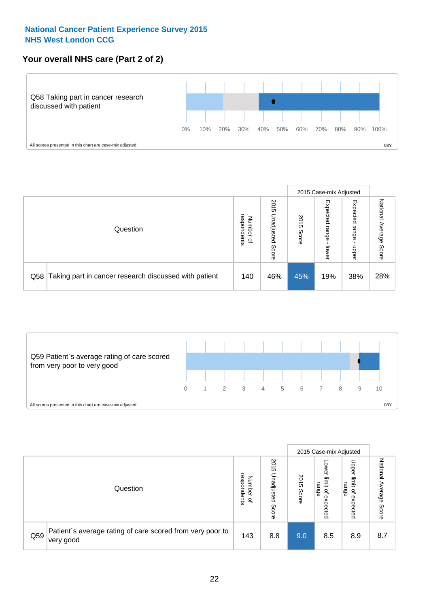## **Your overall NHS care (Part 2 of 2)**



|     |                                                       |                                              |                             | 2015 Case-mix Adjusted |                            |                            |                        |
|-----|-------------------------------------------------------|----------------------------------------------|-----------------------------|------------------------|----------------------------|----------------------------|------------------------|
|     | Question                                              | respondents<br>Number<br>$\overline{\sigma}$ | 2015<br>Unadjusted<br>Score | 2015<br>Score          | Expected<br>range<br>lower | Expected<br>range<br>doper | National Average Score |
| Q58 | Taking part in cancer research discussed with patient | 140                                          | 46%                         | 45%                    | 19%                        | 38%                        | 28%                    |



|     |                                                                        |                                              |                             | 2015 Case-mix Adjusted |                                           |                                                                 |                              |
|-----|------------------------------------------------------------------------|----------------------------------------------|-----------------------------|------------------------|-------------------------------------------|-----------------------------------------------------------------|------------------------------|
|     | Question                                                               | respondents<br>Number<br>$\overline{\sigma}$ | 2015<br>Jnadjusted<br>Score | 2015<br>Score          | OWer<br>limit<br>range<br>਼੍ਰ<br>expected | Upper<br>ilmit<br>range<br>$\overline{\mathcal{C}}$<br>expected | National<br>Average<br>Score |
| Q59 | Patient's average rating of care scored from very poor to<br>very good | 143                                          | 8.8                         | 9.0                    | 8.5                                       | 8.9                                                             | 8.7                          |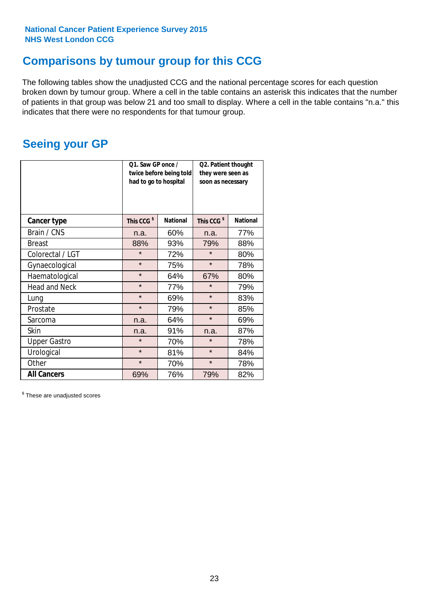## **Comparisons by tumour group for this CCG**

The following tables show the unadjusted CCG and the national percentage scores for each question broken down by tumour group. Where a cell in the table contains an asterisk this indicates that the number of patients in that group was below 21 and too small to display. Where a cell in the table contains "n.a." this indicates that there were no respondents for that tumour group.

## **Seeing your GP**

|                      | Q1. Saw GP once /<br>had to go to hospital | twice before being told | Q2. Patient thought<br>they were seen as<br>soon as necessary |                 |  |
|----------------------|--------------------------------------------|-------------------------|---------------------------------------------------------------|-----------------|--|
| <b>Cancer type</b>   | This CCG <sup>\$</sup>                     | <b>National</b>         | This CCG <sup>\$</sup>                                        | <b>National</b> |  |
| Brain / CNS          | n.a.                                       | 60%                     | n.a.                                                          | 77%             |  |
| <b>Breast</b>        | 88%                                        | 93%                     | 79%                                                           | 88%             |  |
| Colorectal / LGT     | $\star$                                    | 72%                     | $\star$                                                       | 80%             |  |
| Gynaecological       | $\star$                                    | 75%                     | $\star$                                                       | 78%             |  |
| Haematological       | $\star$                                    | 64%                     | 67%                                                           | 80%             |  |
| <b>Head and Neck</b> | $\star$                                    | 77%                     | $\star$                                                       | 79%             |  |
| Lung                 | $\star$                                    | 69%                     | $\star$                                                       | 83%             |  |
| Prostate             | $\star$                                    | 79%                     | $\star$                                                       | 85%             |  |
| Sarcoma              | n.a.                                       | 64%                     | $\star$                                                       | 69%             |  |
| <b>Skin</b>          | n.a.                                       | 91%                     | n.a.                                                          | 87%             |  |
| <b>Upper Gastro</b>  | $\star$                                    | 70%                     | $\star$                                                       | 78%             |  |
| Urological           | $\star$                                    | 81%                     | $\star$                                                       | 84%             |  |
| Other                | $\star$                                    | 70%                     | $\star$                                                       | 78%             |  |
| <b>All Cancers</b>   | 69%                                        | 76%                     | 79%                                                           | 82%             |  |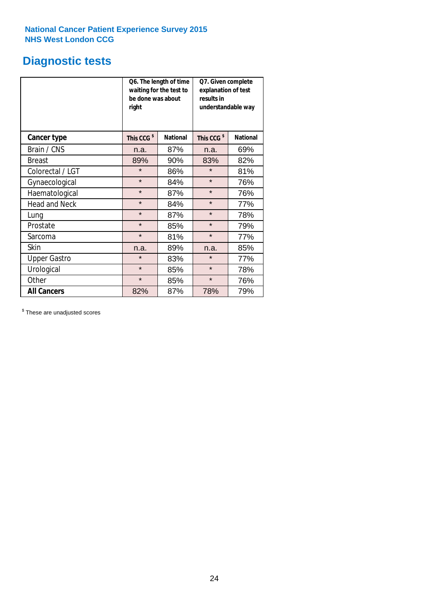# **Diagnostic tests**

|                      | be done was about<br>right | Q6. The length of time<br>waiting for the test to | Q7. Given complete<br>explanation of test<br>results in<br>understandable way |                 |  |
|----------------------|----------------------------|---------------------------------------------------|-------------------------------------------------------------------------------|-----------------|--|
| <b>Cancer type</b>   | This CCG <sup>\$</sup>     | <b>National</b>                                   | This CCG <sup>\$</sup>                                                        | <b>National</b> |  |
| Brain / CNS          | n.a.                       | 87%                                               | n.a.                                                                          | 69%             |  |
| <b>Breast</b>        | 89%                        | 90%                                               | 83%                                                                           | 82%             |  |
| Colorectal / LGT     | $\star$                    | 86%                                               | $\star$                                                                       | 81%             |  |
| Gynaecological       | $\star$                    | 84%                                               | $\star$                                                                       | 76%             |  |
| Haematological       | $\star$                    | 87%                                               | $\star$                                                                       | 76%             |  |
| <b>Head and Neck</b> | $\star$                    | 84%                                               | $\star$                                                                       | 77%             |  |
| Lung                 | $\star$                    | 87%                                               | $\star$                                                                       | 78%             |  |
| Prostate             | $\star$                    | 85%                                               | $\star$                                                                       | 79%             |  |
| Sarcoma              | $\star$                    | 81%                                               | $\star$                                                                       | 77%             |  |
| Skin                 | n.a.                       | 89%                                               | n.a.                                                                          | 85%             |  |
| <b>Upper Gastro</b>  | $\star$                    | 83%                                               | $\star$                                                                       | 77%             |  |
| Urological           | $\star$                    | 85%                                               | $\star$                                                                       | 78%             |  |
| Other                | $\star$                    | 85%                                               | $\star$                                                                       | 76%             |  |
| <b>All Cancers</b>   | 82%                        | 87%                                               | 78%                                                                           | 79%             |  |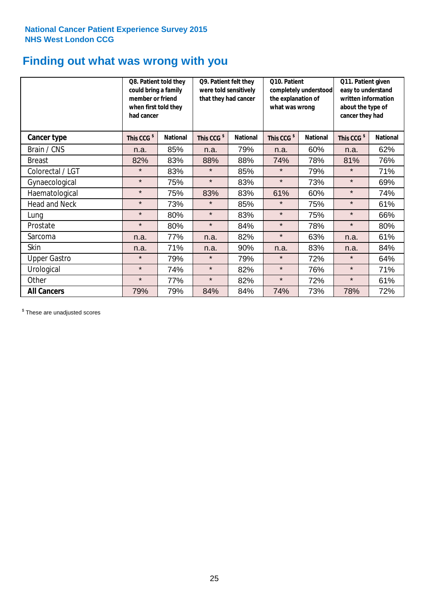## **Finding out what was wrong with you**

|                      | Q8. Patient told they<br>could bring a family<br>member or friend<br>when first told they<br>had cancer |                 | Q9. Patient felt they<br>were told sensitively<br>that they had cancer |                 | Q10. Patient<br>completely understood<br>the explanation of<br>what was wrong |                 | Q11. Patient given<br>easy to understand<br>written information<br>about the type of<br>cancer they had |                 |
|----------------------|---------------------------------------------------------------------------------------------------------|-----------------|------------------------------------------------------------------------|-----------------|-------------------------------------------------------------------------------|-----------------|---------------------------------------------------------------------------------------------------------|-----------------|
| Cancer type          | This CCG <sup>\$</sup>                                                                                  | <b>National</b> | This CCG <sup>\$</sup>                                                 | <b>National</b> | This CCG <sup>\$</sup>                                                        | <b>National</b> | This CCG <sup>\$</sup>                                                                                  | <b>National</b> |
| Brain / CNS          | n.a.                                                                                                    | 85%             | n.a.                                                                   | 79%             | n.a.                                                                          | 60%             | n.a.                                                                                                    | 62%             |
| <b>Breast</b>        | 82%                                                                                                     | 83%             | 88%                                                                    | 88%             | 74%                                                                           | 78%             | 81%                                                                                                     | 76%             |
| Colorectal / LGT     | $\star$                                                                                                 | 83%             | $\star$                                                                | 85%             | $\star$                                                                       | 79%             | $\star$                                                                                                 | 71%             |
| Gynaecological       | $\star$                                                                                                 | 75%             | $\star$                                                                | 83%             | $\star$                                                                       | 73%             | $\star$                                                                                                 | 69%             |
| Haematological       | $\star$                                                                                                 | 75%             | 83%                                                                    | 83%             | 61%                                                                           | 60%             | $\star$                                                                                                 | 74%             |
| <b>Head and Neck</b> | $\star$                                                                                                 | 73%             | $\star$                                                                | 85%             | $\star$                                                                       | 75%             | $\star$                                                                                                 | 61%             |
| Lung                 | $\star$                                                                                                 | 80%             | $\star$                                                                | 83%             | $\star$                                                                       | 75%             | $\star$                                                                                                 | 66%             |
| Prostate             | $\star$                                                                                                 | 80%             | $\star$                                                                | 84%             | $\star$                                                                       | 78%             | $\star$                                                                                                 | 80%             |
| Sarcoma              | n.a.                                                                                                    | 77%             | n.a.                                                                   | 82%             | $\star$                                                                       | 63%             | n.a.                                                                                                    | 61%             |
| Skin                 | n.a.                                                                                                    | 71%             | n.a.                                                                   | 90%             | n.a.                                                                          | 83%             | n.a.                                                                                                    | 84%             |
| <b>Upper Gastro</b>  | $\star$                                                                                                 | 79%             | $\star$                                                                | 79%             | $\star$                                                                       | 72%             | $\star$                                                                                                 | 64%             |
| Urological           | $\star$                                                                                                 | 74%             | $\star$                                                                | 82%             | $\star$                                                                       | 76%             | $\star$                                                                                                 | 71%             |
| Other                | $\star$                                                                                                 | 77%             | $\star$                                                                | 82%             | $\star$                                                                       | 72%             | $\star$                                                                                                 | 61%             |
| <b>All Cancers</b>   | 79%                                                                                                     | 79%             | 84%                                                                    | 84%             | 74%                                                                           | 73%             | 78%                                                                                                     | 72%             |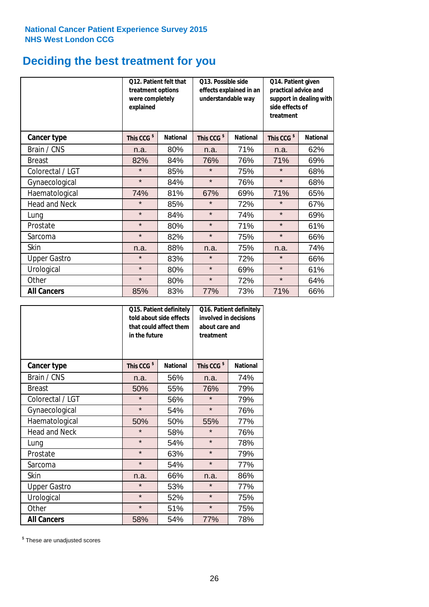# **Deciding the best treatment for you**

|                      | 012. Patient felt that<br>treatment options<br>were completely<br>explained |                 | O13. Possible side<br>understandable way | effects explained in an | Q14. Patient given<br>practical advice and<br>support in dealing with<br>side effects of<br>treatment |                 |  |
|----------------------|-----------------------------------------------------------------------------|-----------------|------------------------------------------|-------------------------|-------------------------------------------------------------------------------------------------------|-----------------|--|
| <b>Cancer type</b>   | This CCG <sup>\$</sup>                                                      | <b>National</b> | This CCG <sup>\$</sup>                   | <b>National</b>         | This CCG <sup>\$</sup>                                                                                | <b>National</b> |  |
| Brain / CNS          | n.a.                                                                        | 80%             | n.a.                                     | 71%                     | n.a.                                                                                                  | 62%             |  |
| <b>Breast</b>        | 82%                                                                         | 84%             | 76%                                      | 76%                     | 71%                                                                                                   | 69%             |  |
| Colorectal / LGT     | $\star$                                                                     | 85%             | $\star$                                  | 75%                     | $\star$                                                                                               | 68%             |  |
| Gynaecological       | $\star$                                                                     | 84%             | $\star$                                  | 76%                     | $\star$                                                                                               | 68%             |  |
| Haematological       | 74%                                                                         | 81%             | 67%                                      | 69%                     | 71%                                                                                                   | 65%             |  |
| <b>Head and Neck</b> | $\star$                                                                     | 85%             | $\star$                                  | 72%                     | $\star$                                                                                               | 67%             |  |
| Lung                 | $\star$                                                                     | 84%             | $\star$                                  | 74%                     | $\star$                                                                                               | 69%             |  |
| Prostate             | $\star$                                                                     | 80%             | $\star$                                  | 71%                     | $\star$                                                                                               | 61%             |  |
| Sarcoma              | $\star$                                                                     | 82%             | $\star$                                  | 75%                     | $\star$                                                                                               | 66%             |  |
| Skin                 | n.a.                                                                        | 88%             | n.a.                                     | 75%                     | n.a.                                                                                                  | 74%             |  |
| <b>Upper Gastro</b>  | $\star$                                                                     | 83%             | $\star$                                  | 72%                     | $\star$                                                                                               | 66%             |  |
| Urological           | $\star$                                                                     | 80%             | $\star$                                  | 69%                     | $\star$                                                                                               | 61%             |  |
| Other                | $\star$                                                                     | 80%             | $\star$                                  | 72%                     | $\star$                                                                                               | 64%             |  |
| <b>All Cancers</b>   | 85%                                                                         | 83%             | 77%                                      | 73%                     | 71%                                                                                                   | 66%             |  |

|                      | in the future          | Q15. Patient definitely<br>told about side effects<br>that could affect them | Q16. Patient definitely<br>involved in decisions<br>about care and<br>treatment |                 |  |
|----------------------|------------------------|------------------------------------------------------------------------------|---------------------------------------------------------------------------------|-----------------|--|
| <b>Cancer type</b>   | This CCG <sup>\$</sup> | <b>National</b>                                                              | This CCG <sup>\$</sup>                                                          | <b>National</b> |  |
| Brain / CNS          | n.a.                   | 56%                                                                          | n.a.                                                                            | 74%             |  |
| <b>Breast</b>        | 50%                    | 55%                                                                          | 76%                                                                             | 79%             |  |
| Colorectal / LGT     | $\star$                | 56%                                                                          | $\star$                                                                         | 79%             |  |
| Gynaecological       | $\star$<br>54%         |                                                                              | $\star$                                                                         | 76%             |  |
| Haematological       | 50%<br>50%             |                                                                              | 55%                                                                             | 77%             |  |
| <b>Head and Neck</b> | $\star$                | 58%                                                                          | $\star$                                                                         | 76%             |  |
| Lung                 | $\star$                | 54%                                                                          | $\star$                                                                         | 78%             |  |
| Prostate             | $\star$                | 63%                                                                          | $\star$                                                                         | 79%             |  |
| Sarcoma              | $\star$                | 54%                                                                          | $\star$                                                                         | 77%             |  |
| Skin                 | n.a.                   | 66%                                                                          | n.a.                                                                            | 86%             |  |
| <b>Upper Gastro</b>  | $\star$                | 53%                                                                          | $\star$                                                                         | 77%             |  |
| Urological           | $\star$                | 52%                                                                          | $\star$                                                                         | 75%             |  |
| Other                | $\star$                | 51%                                                                          | $\star$                                                                         | 75%             |  |
| <b>All Cancers</b>   | 58%                    | 54%                                                                          | 77%                                                                             | 78%             |  |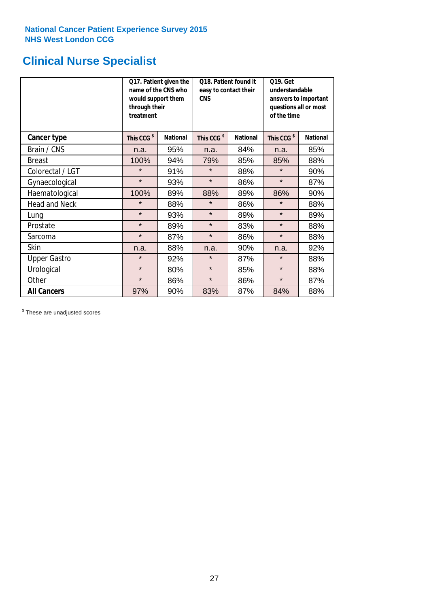## **Clinical Nurse Specialist**

|                      | would support them<br>through their<br>treatment | Q17. Patient given the<br>name of the CNS who | Q18. Patient found it<br>easy to contact their<br><b>CNS</b> |                 | <b>Q19. Get</b><br>understandable<br>answers to important<br>questions all or most<br>of the time |                 |
|----------------------|--------------------------------------------------|-----------------------------------------------|--------------------------------------------------------------|-----------------|---------------------------------------------------------------------------------------------------|-----------------|
| <b>Cancer type</b>   | This CCG <sup>\$</sup>                           | <b>National</b>                               | This CCG <sup>\$</sup>                                       | <b>National</b> | This CCG <sup>\$</sup>                                                                            | <b>National</b> |
| Brain / CNS          | n.a.                                             | 95%                                           | n.a.                                                         | 84%             | n.a.                                                                                              | 85%             |
| <b>Breast</b>        | 100%                                             | 94%                                           | 79%                                                          | 85%             | 85%                                                                                               | 88%             |
| Colorectal / LGT     | $\star$                                          | 91%                                           | $\star$                                                      | 88%             | $\star$                                                                                           | 90%             |
| Gynaecological       | $\star$                                          | 93%                                           | $\star$                                                      | 86%             | $\star$                                                                                           | 87%             |
| Haematological       | 100%                                             | 89%                                           | 88%                                                          | 89%             | 86%                                                                                               | 90%             |
| <b>Head and Neck</b> | $\star$                                          | 88%                                           | $\star$                                                      | 86%             | $\star$                                                                                           | 88%             |
| Lung                 | $\star$                                          | 93%                                           | $\star$                                                      | 89%             | $\star$                                                                                           | 89%             |
| Prostate             | $\star$                                          | 89%                                           | $\star$                                                      | 83%             | $\star$                                                                                           | 88%             |
| Sarcoma              | $\star$                                          | 87%                                           | $\star$                                                      | 86%             | $\star$                                                                                           | 88%             |
| Skin                 | n.a.                                             | 88%                                           | n.a.                                                         | 90%             | n.a.                                                                                              | 92%             |
| <b>Upper Gastro</b>  | $\star$                                          | 92%                                           | $\star$                                                      | 87%             | $\star$                                                                                           | 88%             |
| Urological           | $\star$                                          | 80%                                           | $\star$                                                      | 85%             | $\star$                                                                                           | 88%             |
| Other                | $\star$                                          | 86%                                           | $\star$                                                      | 86%             | $\star$                                                                                           | 87%             |
| <b>All Cancers</b>   | 97%                                              | 90%                                           | 83%                                                          | 87%             | 84%                                                                                               | 88%             |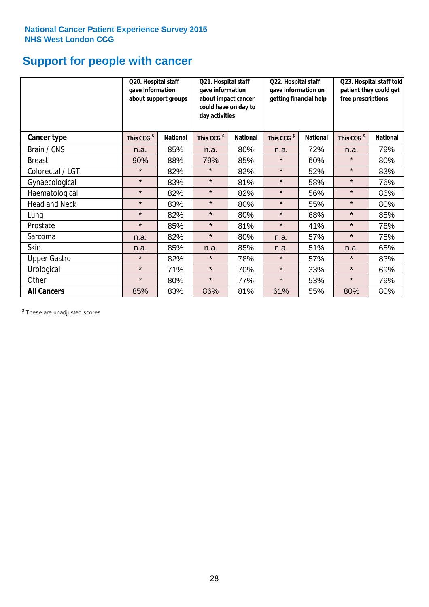## **Support for people with cancer**

|                      | Q20. Hospital staff<br>gave information | Q21. Hospital staff<br>gave information<br>about support groups<br>about impact cancer<br>could have on day to<br>day activities |                        |                 | Q22. Hospital staff<br>gave information on<br>getting financial help |                 | Q23. Hospital staff told<br>patient they could get<br>free prescriptions |                 |
|----------------------|-----------------------------------------|----------------------------------------------------------------------------------------------------------------------------------|------------------------|-----------------|----------------------------------------------------------------------|-----------------|--------------------------------------------------------------------------|-----------------|
| Cancer type          | This CCG <sup>\$</sup>                  | <b>National</b>                                                                                                                  | This CCG <sup>\$</sup> | <b>National</b> | This CCG <sup>\$</sup>                                               | <b>National</b> | This CCG <sup>\$</sup>                                                   | <b>National</b> |
| Brain / CNS          | n.a.                                    | 85%                                                                                                                              | n.a.                   | 80%             | n.a.                                                                 | 72%             | n.a.                                                                     | 79%             |
| <b>Breast</b>        | 90%                                     | 88%                                                                                                                              | 79%                    | 85%             | $\star$                                                              | 60%             | $\star$                                                                  | 80%             |
| Colorectal / LGT     | $\star$                                 | 82%                                                                                                                              | $\star$                | 82%             | $\star$                                                              | 52%             | $\star$                                                                  | 83%             |
| Gynaecological       | $\star$                                 | 83%                                                                                                                              | $\star$                | 81%             | $\star$                                                              | 58%             | $\star$                                                                  | 76%             |
| Haematological       | $\star$                                 | 82%                                                                                                                              | $\star$                | 82%             | $\star$                                                              | 56%             | $\star$                                                                  | 86%             |
| <b>Head and Neck</b> | $\star$                                 | 83%                                                                                                                              | $\star$                | 80%             | $\star$                                                              | 55%             | $\star$                                                                  | 80%             |
| Lung                 | $\star$                                 | 82%                                                                                                                              | $\star$                | 80%             | $\star$                                                              | 68%             | $\star$                                                                  | 85%             |
| Prostate             | $\star$                                 | 85%                                                                                                                              | $\star$                | 81%             | $\star$                                                              | 41%             | $\star$                                                                  | 76%             |
| Sarcoma              | n.a.                                    | 82%                                                                                                                              | $\star$                | 80%             | n.a.                                                                 | 57%             | $\star$                                                                  | 75%             |
| Skin                 | n.a.                                    | 85%                                                                                                                              | n.a.                   | 85%             | n.a.                                                                 | 51%             | n.a.                                                                     | 65%             |
| <b>Upper Gastro</b>  | $\star$                                 | 82%                                                                                                                              | $\star$                | 78%             | $\star$                                                              | 57%             | $\star$                                                                  | 83%             |
| Urological           | $\star$                                 | 71%                                                                                                                              | $\star$                | 70%             | $\star$                                                              | 33%             | $\star$                                                                  | 69%             |
| Other                | $\star$                                 | 80%                                                                                                                              | $\star$                | 77%             | $\star$                                                              | 53%             | $\star$                                                                  | 79%             |
| <b>All Cancers</b>   | 85%                                     | 83%                                                                                                                              | 86%                    | 81%             | 61%                                                                  | 55%             | 80%                                                                      | 80%             |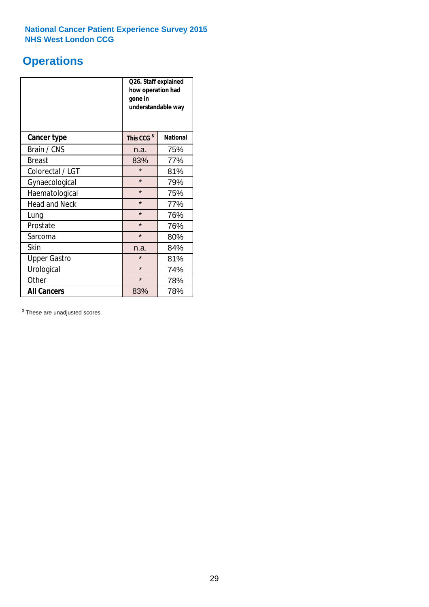## **Operations**

|                                  | Q26. Staff explained<br>how operation had<br>gone in<br>understandable way |                 |  |  |  |
|----------------------------------|----------------------------------------------------------------------------|-----------------|--|--|--|
| <b>Cancer type</b>               | This CCG <sup>\$</sup>                                                     | <b>National</b> |  |  |  |
| Brain / CNS                      | n.a.                                                                       | 75%             |  |  |  |
| <b>Breast</b>                    | 83%                                                                        | 77%             |  |  |  |
| Colorectal / LGT                 | $\star$                                                                    | 81%             |  |  |  |
| Gynaecological                   | $\star$                                                                    | 79%             |  |  |  |
| Haematological                   | $\star$<br>75%                                                             |                 |  |  |  |
| <b>Head and Neck</b>             | $\star$                                                                    | 77%             |  |  |  |
| Lung                             | $\star$                                                                    | 76%             |  |  |  |
| Prostate                         | $\star$                                                                    | 76%             |  |  |  |
| Sarcoma                          | $\star$                                                                    | 80%             |  |  |  |
| Skin                             | n.a.                                                                       | 84%             |  |  |  |
| <b>Upper Gastro</b>              | $\star$                                                                    | 81%             |  |  |  |
| Urological                       | $\star$                                                                    | 74%             |  |  |  |
| Other                            | $\star$<br>78%                                                             |                 |  |  |  |
| <b>All Cancers</b><br>78%<br>83% |                                                                            |                 |  |  |  |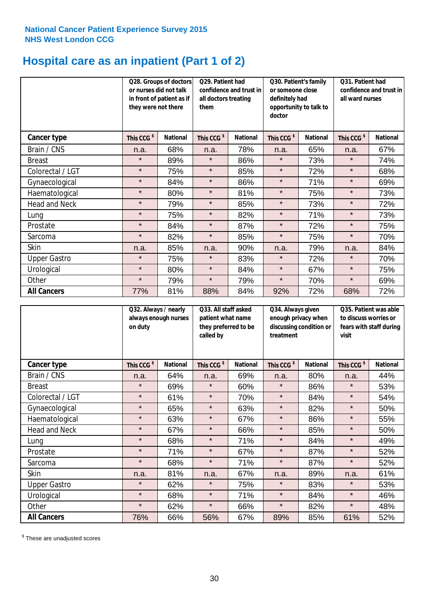## **Hospital care as an inpatient (Part 1 of 2)**

|                      | or nurses did not talk<br>they were not there | Q29. Patient had<br>Q28. Groups of doctors<br>confidence and trust in<br>in front of patient as if<br>all doctors treating<br>them |                        | Q30. Patient's family<br>or someone close<br>definitely had<br>opportunity to talk to<br>doctor |                        | Q31. Patient had<br>confidence and trust in  <br>all ward nurses |                        |                 |
|----------------------|-----------------------------------------------|------------------------------------------------------------------------------------------------------------------------------------|------------------------|-------------------------------------------------------------------------------------------------|------------------------|------------------------------------------------------------------|------------------------|-----------------|
| Cancer type          | This CCG <sup>\$</sup>                        | <b>National</b>                                                                                                                    | This CCG <sup>\$</sup> | <b>National</b>                                                                                 | This CCG <sup>\$</sup> | <b>National</b>                                                  | This CCG <sup>\$</sup> | <b>National</b> |
| Brain / CNS          | n.a.                                          | 68%                                                                                                                                | n.a.                   | 78%                                                                                             | n.a.                   | 65%                                                              | n.a.                   | 67%             |
| <b>Breast</b>        | $\star$                                       | 89%                                                                                                                                | $\star$                | 86%                                                                                             | $\star$                | 73%                                                              | $\star$                | 74%             |
| Colorectal / LGT     | $\star$                                       | 75%                                                                                                                                | $\star$                | 85%                                                                                             | $\star$                | 72%                                                              | $\star$                | 68%             |
| Gynaecological       | $\star$                                       | 84%                                                                                                                                | $\star$                | 86%                                                                                             | $\star$                | 71%                                                              | $\star$                | 69%             |
| Haematological       | $\star$                                       | 80%                                                                                                                                | $\star$                | 81%                                                                                             | $\star$                | 75%                                                              | $\star$                | 73%             |
| <b>Head and Neck</b> | $\star$                                       | 79%                                                                                                                                | $\star$                | 85%                                                                                             | $\star$                | 73%                                                              | $\star$                | 72%             |
| Lung                 | $\star$                                       | 75%                                                                                                                                | $\star$                | 82%                                                                                             | $\star$                | 71%                                                              | $\star$                | 73%             |
| Prostate             | $\star$                                       | 84%                                                                                                                                | $\star$                | 87%                                                                                             | $\star$                | 72%                                                              | $\star$                | 75%             |
| Sarcoma              | $\star$                                       | 82%                                                                                                                                | $\star$                | 85%                                                                                             | $\star$                | 75%                                                              | $\star$                | 70%             |
| Skin                 | n.a.                                          | 85%                                                                                                                                | n.a.                   | 90%                                                                                             | n.a.                   | 79%                                                              | n.a.                   | 84%             |
| <b>Upper Gastro</b>  | $\star$                                       | 75%                                                                                                                                | $\star$                | 83%                                                                                             | $\star$                | 72%                                                              | $\star$                | 70%             |
| Urological           | $\star$                                       | 80%                                                                                                                                | $\star$                | 84%                                                                                             | $\star$                | 67%                                                              | $\star$                | 75%             |
| Other                | $\star$                                       | 79%                                                                                                                                | $\star$                | 79%                                                                                             | $\star$                | 70%                                                              | $\star$                | 69%             |
| <b>All Cancers</b>   | 77%                                           | 81%                                                                                                                                | 88%                    | 84%                                                                                             | 92%                    | 72%                                                              | 68%                    | 72%             |

|                      | Q32. Always / nearly<br>always enough nurses<br>on duty |                 | Q33. All staff asked<br>patient what name<br>they preferred to be<br>called by |                 | Q34. Always given<br>enough privacy when<br>discussing condition or<br>treatment |                 | Q35. Patient was able<br>to discuss worries or<br>fears with staff during<br>visit |                 |
|----------------------|---------------------------------------------------------|-----------------|--------------------------------------------------------------------------------|-----------------|----------------------------------------------------------------------------------|-----------------|------------------------------------------------------------------------------------|-----------------|
| <b>Cancer type</b>   | This CCG <sup>\$</sup>                                  | <b>National</b> | This CCG <sup>\$</sup>                                                         | <b>National</b> | This CCG <sup>\$</sup>                                                           | <b>National</b> | This CCG <sup>\$</sup>                                                             | <b>National</b> |
| Brain / CNS          | n.a.                                                    | 64%             | n.a.                                                                           | 69%             | n.a.                                                                             | 80%             | n.a.                                                                               | 44%             |
| <b>Breast</b>        | $\star$                                                 | 69%             | $\star$                                                                        | 60%             | $\star$                                                                          | 86%             | $\star$                                                                            | 53%             |
| Colorectal / LGT     | $\star$                                                 | 61%             | $\star$                                                                        | 70%             | $\star$                                                                          | 84%             | $\star$                                                                            | 54%             |
| Gynaecological       | $\star$                                                 | 65%             | $\star$                                                                        | 63%             | $\star$                                                                          | 82%             | $\star$                                                                            | 50%             |
| Haematological       | $\star$                                                 | 63%             | $\star$                                                                        | 67%             | $\star$                                                                          | 86%             | $\star$                                                                            | 55%             |
| <b>Head and Neck</b> | $\star$                                                 | 67%             | $\star$                                                                        | 66%             | $\star$                                                                          | 85%             | $\star$                                                                            | 50%             |
| Lung                 | $\star$                                                 | 68%             | $\star$                                                                        | 71%             | $\star$                                                                          | 84%             | $\star$                                                                            | 49%             |
| Prostate             | $\star$                                                 | 71%             | $\star$                                                                        | 67%             | $\star$                                                                          | 87%             | $\star$                                                                            | 52%             |
| Sarcoma              | $\star$                                                 | 68%             | $\star$                                                                        | 71%             | $\star$                                                                          | 87%             | $\star$                                                                            | 52%             |
| Skin                 | n.a.                                                    | 81%             | n.a.                                                                           | 67%             | n.a.                                                                             | 89%             | n.a.                                                                               | 61%             |
| <b>Upper Gastro</b>  | $\star$                                                 | 62%             | $\star$                                                                        | 75%             | $\star$                                                                          | 83%             | $\star$                                                                            | 53%             |
| Urological           | $\star$                                                 | 68%             | $\star$                                                                        | 71%             | $\star$                                                                          | 84%             | $\star$                                                                            | 46%             |
| Other                | $\star$                                                 | 62%             | $\star$                                                                        | 66%             | $\star$                                                                          | 82%             | $\star$                                                                            | 48%             |
| <b>All Cancers</b>   | 76%                                                     | 66%             | 56%                                                                            | 67%             | 89%                                                                              | 85%             | 61%                                                                                | 52%             |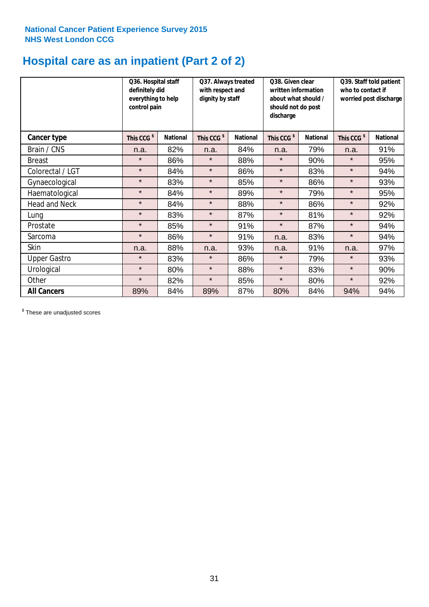## **Hospital care as an inpatient (Part 2 of 2)**

|                      | Q36. Hospital staff<br>definitely did<br>everything to help<br>control pain |                 | Q37. Always treated<br>with respect and<br>dignity by staff |                 | Q38. Given clear<br>written information<br>about what should /<br>should not do post<br>discharge |                 | Q39. Staff told patient<br>who to contact if<br>worried post discharge |                 |  |
|----------------------|-----------------------------------------------------------------------------|-----------------|-------------------------------------------------------------|-----------------|---------------------------------------------------------------------------------------------------|-----------------|------------------------------------------------------------------------|-----------------|--|
| Cancer type          | This CCG <sup>\$</sup>                                                      | <b>National</b> | This CCG <sup>\$</sup>                                      | <b>National</b> | This CCG <sup>\$</sup>                                                                            | <b>National</b> | This CCG <sup>\$</sup>                                                 | <b>National</b> |  |
| Brain / CNS          | n.a.                                                                        | 82%             | n.a.                                                        | 84%             | n.a.                                                                                              | 79%             | n.a.                                                                   | 91%             |  |
| <b>Breast</b>        | $\star$                                                                     | 86%             | $\star$                                                     | 88%             | $\star$                                                                                           | 90%             | $\star$                                                                | 95%             |  |
| Colorectal / LGT     | $\star$                                                                     | 84%             | $\star$                                                     | 86%             | $\star$                                                                                           | 83%             | $\star$                                                                | 94%             |  |
| Gynaecological       | $\star$                                                                     | 83%             | $\star$                                                     | 85%             | $\star$                                                                                           | 86%             | $\star$                                                                | 93%             |  |
| Haematological       | $\star$                                                                     | 84%             | $\star$                                                     | 89%             | $\star$                                                                                           | 79%             | $\star$                                                                | 95%             |  |
| <b>Head and Neck</b> | $\star$                                                                     | 84%             | $\star$                                                     | 88%             | $\star$                                                                                           | 86%             | $\star$                                                                | 92%             |  |
| Lung                 | $\star$                                                                     | 83%             | $\star$                                                     | 87%             | $\star$                                                                                           | 81%             | $\star$                                                                | 92%             |  |
| Prostate             | $\star$                                                                     | 85%             | $\star$                                                     | 91%             | $\star$                                                                                           | 87%             | $\star$                                                                | 94%             |  |
| Sarcoma              | $\star$                                                                     | 86%             | $\star$                                                     | 91%             | n.a.                                                                                              | 83%             | $\star$                                                                | 94%             |  |
| Skin                 | n.a.                                                                        | 88%             | n.a.                                                        | 93%             | n.a.                                                                                              | 91%             | n.a.                                                                   | 97%             |  |
| <b>Upper Gastro</b>  | $\star$                                                                     | 83%             | $\star$                                                     | 86%             | $\star$                                                                                           | 79%             | $\star$                                                                | 93%             |  |
| Urological           | $\star$                                                                     | 80%             | $\star$                                                     | 88%             | $\star$                                                                                           | 83%             | $\star$                                                                | 90%             |  |
| Other                | $\star$                                                                     | 82%             | $\star$                                                     | 85%             | $\star$                                                                                           | 80%             | $\star$                                                                | 92%             |  |
| <b>All Cancers</b>   | 89%                                                                         | 84%             | 89%                                                         | 87%             | 80%                                                                                               | 84%             | 94%                                                                    | 94%             |  |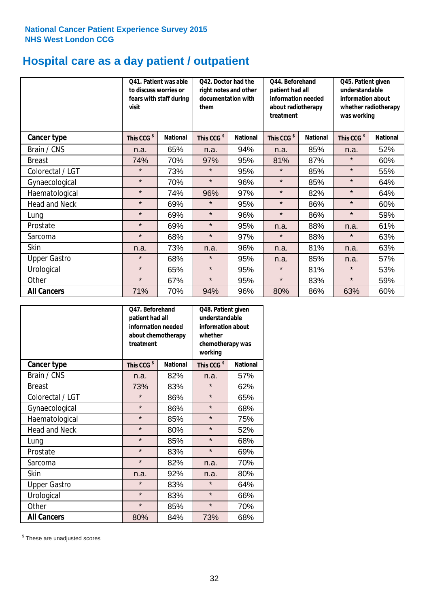# **Hospital care as a day patient / outpatient**

|                      | to discuss worries or<br>visit | Q41. Patient was able<br>fears with staff during | Q42. Doctor had the<br>right notes and other<br>documentation with<br>them |                 | Q44. Beforehand<br>patient had all<br>information needed<br>about radiotherapy<br>treatment |                 | Q45. Patient given<br>understandable<br>information about<br>whether radiotherapy<br>was working |                 |
|----------------------|--------------------------------|--------------------------------------------------|----------------------------------------------------------------------------|-----------------|---------------------------------------------------------------------------------------------|-----------------|--------------------------------------------------------------------------------------------------|-----------------|
| <b>Cancer type</b>   | This CCG <sup>\$</sup>         | <b>National</b>                                  | This CCG <sup>\$</sup>                                                     | <b>National</b> | This CCG <sup>\$</sup>                                                                      | <b>National</b> | This CCG <sup>\$</sup>                                                                           | <b>National</b> |
| Brain / CNS          | n.a.                           | 65%                                              | n.a.                                                                       | 94%             | n.a.                                                                                        | 85%             | n.a.                                                                                             | 52%             |
| <b>Breast</b>        | 74%                            | 70%                                              | 97%                                                                        | 95%             | 81%                                                                                         | 87%             | $\star$                                                                                          | 60%             |
| Colorectal / LGT     | $\star$                        | 73%                                              | $\star$                                                                    | 95%             | $\star$                                                                                     | 85%             | $\star$                                                                                          | 55%             |
| Gynaecological       | $\star$                        | 70%                                              | $\star$                                                                    | 96%             | $\star$                                                                                     | 85%             | $\star$                                                                                          | 64%             |
| Haematological       | $\star$                        | 74%                                              | 96%                                                                        | 97%             | $\star$                                                                                     | 82%             | $\star$                                                                                          | 64%             |
| <b>Head and Neck</b> | $\star$                        | 69%                                              | $\star$                                                                    | 95%             | $\star$                                                                                     | 86%             | $\star$                                                                                          | 60%             |
| Lung                 | $\star$                        | 69%                                              | $\star$                                                                    | 96%             | $\star$                                                                                     | 86%             | $\star$                                                                                          | 59%             |
| Prostate             | $\star$                        | 69%                                              | $\star$                                                                    | 95%             | n.a.                                                                                        | 88%             | n.a.                                                                                             | 61%             |
| Sarcoma              | $\star$                        | 68%                                              | $\star$                                                                    | 97%             | $\star$                                                                                     | 88%             | $\star$                                                                                          | 63%             |
| Skin                 | n.a.                           | 73%                                              | n.a.                                                                       | 96%             | n.a.                                                                                        | 81%             | n.a.                                                                                             | 63%             |
| <b>Upper Gastro</b>  | $\star$                        | 68%                                              | $\star$                                                                    | 95%             | n.a.                                                                                        | 85%             | n.a.                                                                                             | 57%             |
| Urological           | $\star$                        | 65%                                              | $\star$                                                                    | 95%             | $\star$                                                                                     | 81%             | $\star$                                                                                          | 53%             |
| Other                | $\star$                        | 67%                                              | $\star$                                                                    | 95%             | $\star$                                                                                     | 83%             | $\star$                                                                                          | 59%             |
| <b>All Cancers</b>   | 71%                            | 70%                                              | 94%                                                                        | 96%             | 80%                                                                                         | 86%             | 63%                                                                                              | 60%             |

|                      | O47. Beforehand<br>patient had all<br>information needed<br>treatment | about chemotherapy | Q48. Patient given<br>understandable<br>information about<br>whether<br>chemotherapy was<br>working |                 |  |
|----------------------|-----------------------------------------------------------------------|--------------------|-----------------------------------------------------------------------------------------------------|-----------------|--|
| <b>Cancer type</b>   | This CCG <sup>\$</sup>                                                | <b>National</b>    | This CCG <sup>\$</sup>                                                                              | <b>National</b> |  |
| Brain / CNS          | n.a.                                                                  | 82%                | n.a.                                                                                                | 57%             |  |
| <b>Breast</b>        | 73%                                                                   | 83%                | $\star$                                                                                             | 62%             |  |
| Colorectal / LGT     | $\star$                                                               | 86%                | $\star$                                                                                             | 65%             |  |
| Gynaecological       | $\star$<br>86%                                                        |                    | $\star$                                                                                             | 68%             |  |
| Haematological       | $\star$                                                               | 85%                |                                                                                                     | 75%             |  |
| <b>Head and Neck</b> | $\star$                                                               | 80%                | $\star$                                                                                             | 52%             |  |
| Lung                 | $\star$                                                               | 85%                | $\star$                                                                                             | 68%             |  |
| Prostate             | $\star$                                                               | 83%                | $\star$                                                                                             | 69%             |  |
| Sarcoma              | $\star$                                                               | 82%                | n.a.                                                                                                | 70%             |  |
| Skin                 | n.a.                                                                  | 92%                | n.a.                                                                                                | 80%             |  |
| <b>Upper Gastro</b>  | $\star$                                                               | 83%                | $\star$                                                                                             | 64%             |  |
| Urological           | $\star$                                                               | 83%                | $\star$                                                                                             | 66%             |  |
| Other                | $\star$                                                               | 85%                | $\star$                                                                                             | 70%             |  |
| <b>All Cancers</b>   | 80%                                                                   | 84%                | 73%                                                                                                 | 68%             |  |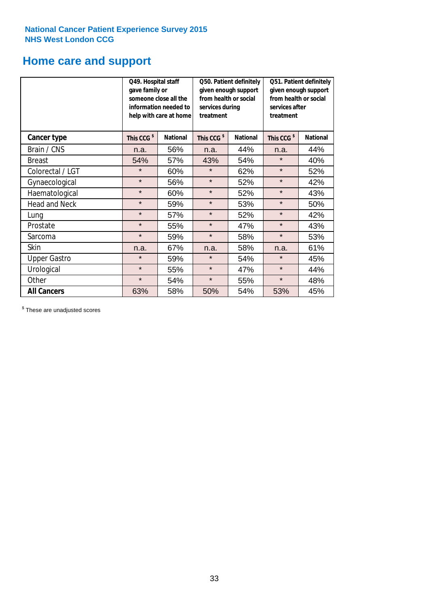# **Home care and support**

|                      | Q49. Hospital staff<br>gave family or | someone close all the<br>information needed to<br>help with care at home | Q50. Patient definitely<br>given enough support<br>from health or social<br>services during<br>treatment |                 | Q51. Patient definitely<br>given enough support<br>from health or social<br>services after<br>treatment |                 |
|----------------------|---------------------------------------|--------------------------------------------------------------------------|----------------------------------------------------------------------------------------------------------|-----------------|---------------------------------------------------------------------------------------------------------|-----------------|
| <b>Cancer type</b>   | This CCG <sup>\$</sup>                | <b>National</b>                                                          | This CCG <sup>\$</sup>                                                                                   | <b>National</b> | This CCG <sup>\$</sup>                                                                                  | <b>National</b> |
| Brain / CNS          | n.a.                                  | 56%                                                                      | n.a.                                                                                                     | 44%             | n.a.                                                                                                    | 44%             |
| <b>Breast</b>        | 54%                                   | 57%                                                                      | 43%                                                                                                      | 54%             | $\star$                                                                                                 | 40%             |
| Colorectal / LGT     | $\star$                               | 60%                                                                      | $\star$                                                                                                  | 62%             | $\star$                                                                                                 | 52%             |
| Gynaecological       | $\star$                               | 56%                                                                      | $\star$<br>52%                                                                                           |                 | $\star$                                                                                                 | 42%             |
| Haematological       | $\star$                               | 60%                                                                      | $\star$                                                                                                  | 52%             | $\star$                                                                                                 | 43%             |
| <b>Head and Neck</b> | $\star$                               | 59%                                                                      | $\star$                                                                                                  | 53%             | $\star$                                                                                                 | 50%             |
| Lung                 | $\star$                               | 57%                                                                      | $\star$                                                                                                  | 52%             | $\star$                                                                                                 | 42%             |
| Prostate             | $\star$                               | 55%                                                                      | $\star$                                                                                                  | 47%             | $\star$                                                                                                 | 43%             |
| Sarcoma              | $\star$                               | 59%                                                                      | $\star$                                                                                                  | 58%             | $\star$                                                                                                 | 53%             |
| Skin                 | n.a.                                  | 67%                                                                      | n.a.                                                                                                     | 58%             | n.a.                                                                                                    | 61%             |
| <b>Upper Gastro</b>  | $\star$                               | 59%                                                                      | $\star$                                                                                                  | 54%             | $\star$                                                                                                 | 45%             |
| Urological           | $\star$                               | 55%                                                                      | $\star$                                                                                                  | 47%             | $\star$                                                                                                 | 44%             |
| Other                | $\star$                               | 54%                                                                      | $\star$                                                                                                  | 55%             | $\star$                                                                                                 | 48%             |
| <b>All Cancers</b>   | 63%                                   | 58%                                                                      | 50%                                                                                                      | 54%             | 53%                                                                                                     | 45%             |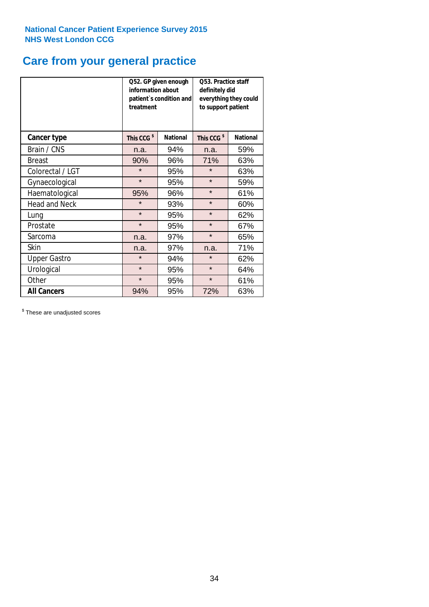## **Care from your general practice**

|                      | information about<br>treatment | Q52. GP given enough<br>patient's condition and | O53. Practice staff<br>definitely did<br>everything they could<br>to support patient |                 |  |
|----------------------|--------------------------------|-------------------------------------------------|--------------------------------------------------------------------------------------|-----------------|--|
| <b>Cancer type</b>   | This CCG <sup>\$</sup>         | <b>National</b>                                 | This CCG <sup>\$</sup>                                                               | <b>National</b> |  |
| Brain / CNS          | n.a.                           | 94%                                             | n.a.                                                                                 | 59%             |  |
| <b>Breast</b>        | 90%                            | 96%                                             | 71%                                                                                  | 63%             |  |
| Colorectal / LGT     | $\star$                        | 95%                                             | $\star$                                                                              | 63%             |  |
| Gynaecological       | $\star$<br>95%                 |                                                 | $\star$                                                                              | 59%             |  |
| Haematological       | 95%                            | 96%                                             | $\star$                                                                              | 61%             |  |
| <b>Head and Neck</b> | $\star$                        | 93%                                             | $\star$                                                                              | 60%             |  |
| Lung                 | $\star$                        | 95%                                             | $\star$                                                                              | 62%             |  |
| Prostate             | $\star$                        | 95%                                             | $\star$                                                                              | 67%             |  |
| Sarcoma              | n.a.                           | 97%                                             | $\star$                                                                              | 65%             |  |
| Skin                 | n.a.                           | 97%                                             | n.a.                                                                                 | 71%             |  |
| <b>Upper Gastro</b>  | $\star$                        | 94%                                             | $\star$                                                                              | 62%             |  |
| Urological           | $\star$                        | 95%                                             | $\star$                                                                              | 64%             |  |
| Other                | $\star$                        | 95%                                             | $\star$                                                                              | 61%             |  |
| <b>All Cancers</b>   | 94%                            | 95%                                             | 72%                                                                                  | 63%             |  |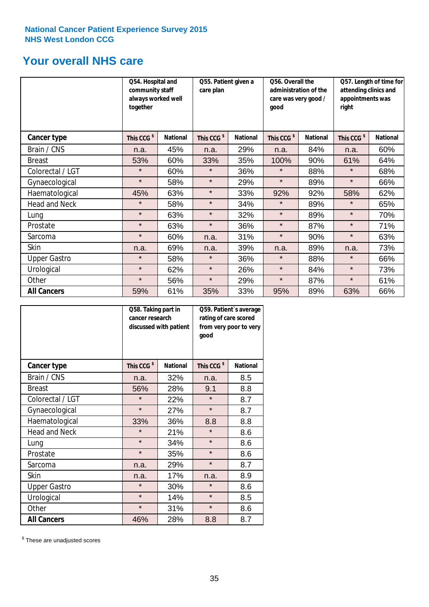## **Your overall NHS care**

|                      | Q54. Hospital and<br>community staff<br>always worked well<br>together |                 | Q55. Patient given a<br>care plan |                 | Q56. Overall the<br>administration of the<br>care was very good /<br>qood |                 | Q57. Length of time for<br>attending clinics and<br>appointments was<br>right |                 |
|----------------------|------------------------------------------------------------------------|-----------------|-----------------------------------|-----------------|---------------------------------------------------------------------------|-----------------|-------------------------------------------------------------------------------|-----------------|
| Cancer type          | This CCG <sup>\$</sup>                                                 | <b>National</b> | This CCG <sup>\$</sup>            | <b>National</b> | This CCG <sup>\$</sup>                                                    | <b>National</b> | This CCG <sup>\$</sup>                                                        | <b>National</b> |
| Brain / CNS          | n.a.                                                                   | 45%             | n.a.                              | 29%             | n.a.                                                                      | 84%             | n.a.                                                                          | 60%             |
| <b>Breast</b>        | 53%                                                                    | 60%             | 33%                               | 35%             | 100%                                                                      | 90%             | 61%                                                                           | 64%             |
| Colorectal / LGT     | $\star$                                                                | 60%             | $\star$                           | 36%             | $\star$                                                                   | 88%             | $\star$                                                                       | 68%             |
| Gynaecological       | $\star$                                                                | 58%             | $\star$                           | 29%             | $\star$                                                                   | 89%             | $\star$                                                                       | 66%             |
| Haematological       | 45%                                                                    | 63%             | $\star$                           | 33%             | 92%                                                                       | 92%             | 58%                                                                           | 62%             |
| <b>Head and Neck</b> | $\star$                                                                | 58%             | $\star$                           | 34%             | $\star$                                                                   | 89%             | $\star$                                                                       | 65%             |
| Lung                 | $\star$                                                                | 63%             | $\star$                           | 32%             | $\star$                                                                   | 89%             | $\star$                                                                       | 70%             |
| Prostate             | $\star$                                                                | 63%             | $\star$                           | 36%             | $\star$                                                                   | 87%             | $\star$                                                                       | 71%             |
| Sarcoma              | $\star$                                                                | 60%             | n.a.                              | 31%             | $\star$                                                                   | 90%             | $\star$                                                                       | 63%             |
| Skin                 | n.a.                                                                   | 69%             | n.a.                              | 39%             | n.a.                                                                      | 89%             | n.a.                                                                          | 73%             |
| <b>Upper Gastro</b>  | $\star$                                                                | 58%             | $\star$                           | 36%             | $\star$                                                                   | 88%             | $\star$                                                                       | 66%             |
| Urological           | $\star$                                                                | 62%             | $\star$                           | 26%             | $\star$                                                                   | 84%             | $\star$                                                                       | 73%             |
| Other                | $\star$                                                                | 56%             | $\star$                           | 29%             | $\star$                                                                   | 87%             | $\star$                                                                       | 61%             |
| <b>All Cancers</b>   | 59%                                                                    | 61%             | 35%                               | 33%             | 95%                                                                       | 89%             | 63%                                                                           | 66%             |

|                      | Q58. Taking part in<br>cancer research | discussed with patient | Q59. Patient's average<br>rating of care scored<br>from very poor to very<br>good |                 |  |
|----------------------|----------------------------------------|------------------------|-----------------------------------------------------------------------------------|-----------------|--|
| <b>Cancer type</b>   | This CCG <sup>\$</sup>                 | <b>National</b>        | This CCG <sup>\$</sup>                                                            | <b>National</b> |  |
| Brain / CNS          | n.a.                                   | 32%                    | n.a.                                                                              | 8.5             |  |
| <b>Breast</b>        | 56%                                    | 28%                    | 9.1                                                                               | 8.8             |  |
| Colorectal / LGT     | $\star$                                | 22%                    | $\star$                                                                           | 8.7             |  |
| Gynaecological       | $\star$<br>27%                         |                        | $\star$                                                                           | 8.7             |  |
| Haematological       | 33%                                    | 36%                    | 8.8                                                                               | 8.8             |  |
| <b>Head and Neck</b> | $\star$                                | 21%                    | $\star$                                                                           | 8.6             |  |
| Lung                 | $\star$                                | 34%                    | $\star$                                                                           | 8.6             |  |
| Prostate             | $\star$                                | 35%                    | $\star$                                                                           | 8.6             |  |
| Sarcoma              | n.a.                                   | 29%                    | $\star$                                                                           | 8.7             |  |
| Skin                 | n.a.                                   | 17%                    | n.a.                                                                              | 8.9             |  |
| <b>Upper Gastro</b>  | $\star$                                | 30%                    | $\star$                                                                           | 8.6             |  |
| Urological           | $\star$                                | 14%                    | $\star$                                                                           | 8.5             |  |
| Other                | $\star$                                | 31%                    | $\star$                                                                           | 8.6             |  |
| <b>All Cancers</b>   | 46%                                    | 28%                    | 8.8                                                                               | 8.7             |  |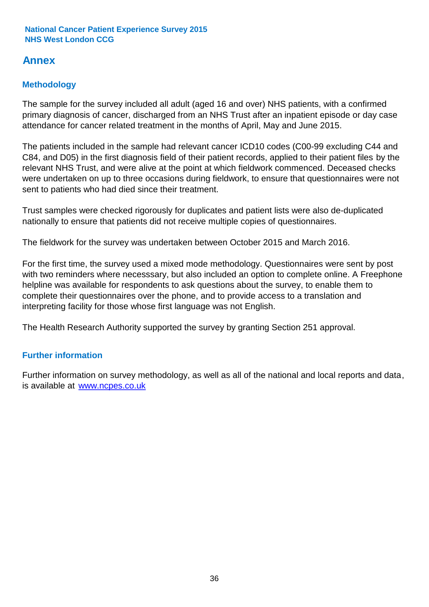## **Annex**

## **Methodology**

The sample for the survey included all adult (aged 16 and over) NHS patients, with a confirmed primary diagnosis of cancer, discharged from an NHS Trust after an inpatient episode or day case attendance for cancer related treatment in the months of April, May and June 2015.

The patients included in the sample had relevant cancer ICD10 codes (C00-99 excluding C44 and C84, and D05) in the first diagnosis field of their patient records, applied to their patient files by the relevant NHS Trust, and were alive at the point at which fieldwork commenced. Deceased checks were undertaken on up to three occasions during fieldwork, to ensure that questionnaires were not sent to patients who had died since their treatment.

Trust samples were checked rigorously for duplicates and patient lists were also de-duplicated nationally to ensure that patients did not receive multiple copies of questionnaires.

The fieldwork for the survey was undertaken between October 2015 and March 2016.

For the first time, the survey used a mixed mode methodology. Questionnaires were sent by post with two reminders where necesssary, but also included an option to complete online. A Freephone helpline was available for respondents to ask questions about the survey, to enable them to complete their questionnaires over the phone, and to provide access to a translation and interpreting facility for those whose first language was not English.

The Health Research Authority supported the survey by granting Section 251 approval.

## **Further information**

Further information on survey methodology, as well as all of the national and local reports and data, is available at www.ncpes.co.uk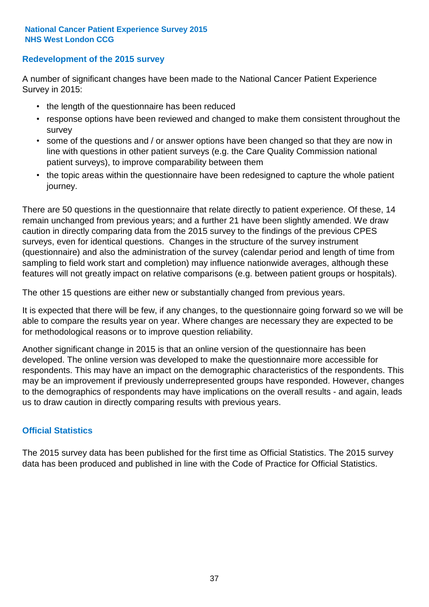### **Redevelopment of the 2015 survey**

A number of significant changes have been made to the National Cancer Patient Experience Survey in 2015:

- the length of the questionnaire has been reduced
- response options have been reviewed and changed to make them consistent throughout the survey
- some of the questions and / or answer options have been changed so that they are now in line with questions in other patient surveys (e.g. the Care Quality Commission national patient surveys), to improve comparability between them
- the topic areas within the questionnaire have been redesigned to capture the whole patient journey.

There are 50 questions in the questionnaire that relate directly to patient experience. Of these, 14 remain unchanged from previous years; and a further 21 have been slightly amended. We draw caution in directly comparing data from the 2015 survey to the findings of the previous CPES surveys, even for identical questions. Changes in the structure of the survey instrument (questionnaire) and also the administration of the survey (calendar period and length of time from sampling to field work start and completion) may influence nationwide averages, although these features will not greatly impact on relative comparisons (e.g. between patient groups or hospitals).

The other 15 questions are either new or substantially changed from previous years.

It is expected that there will be few, if any changes, to the questionnaire going forward so we will be able to compare the results year on year. Where changes are necessary they are expected to be for methodological reasons or to improve question reliability.

Another significant change in 2015 is that an online version of the questionnaire has been developed. The online version was developed to make the questionnaire more accessible for respondents. This may have an impact on the demographic characteristics of the respondents. This may be an improvement if previously underrepresented groups have responded. However, changes to the demographics of respondents may have implications on the overall results - and again, leads us to draw caution in directly comparing results with previous years.

## **Official Statistics**

The 2015 survey data has been published for the first time as Official Statistics. The 2015 survey data has been produced and published in line with the Code of Practice for Official Statistics.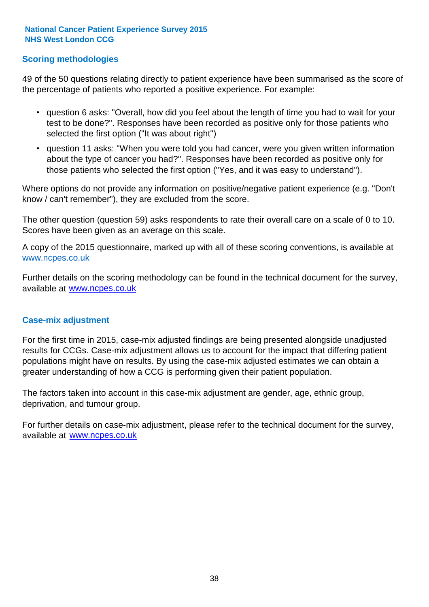## **Scoring methodologies**

49 of the 50 questions relating directly to patient experience have been summarised as the score of the percentage of patients who reported a positive experience. For example:

- question 6 asks: "Overall, how did you feel about the length of time you had to wait for your test to be done?". Responses have been recorded as positive only for those patients who selected the first option ("It was about right")
- question 11 asks: "When you were told you had cancer, were you given written information about the type of cancer you had?". Responses have been recorded as positive only for those patients who selected the first option ("Yes, and it was easy to understand").

Where options do not provide any information on positive/negative patient experience (e.g. "Don't know / can't remember"), they are excluded from the score.

The other question (question 59) asks respondents to rate their overall care on a scale of 0 to 10. Scores have been given as an average on this scale.

A copy of the 2015 questionnaire, marked up with all of these scoring conventions, is available at www.ncpes.co.uk

Further details on the scoring methodology can be found in the technical document for the survey, available at <u>www.ncpes.co.uk</u>

#### **Case-mix adjustment**

For the first time in 2015, case-mix adjusted findings are being presented alongside unadjusted results for CCGs. Case-mix adjustment allows us to account for the impact that differing patient populations might have on results. By using the case-mix adjusted estimates we can obtain a greater understanding of how a CCG is performing given their patient population.

The factors taken into account in this case-mix adjustment are gender, age, ethnic group, deprivation, and tumour group.

For further details on case-mix adjustment, please refer to the technical document for the survey, available at www.ncpes.co.uk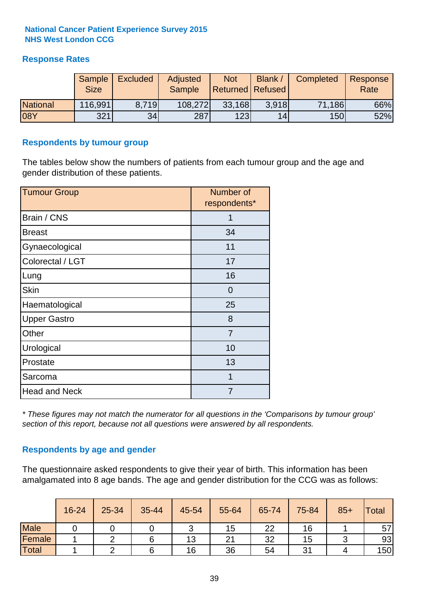## **Response Rates**

|                 | Sample<br><b>Size</b> | <b>Excluded</b> | <b>Adjusted</b><br>Sample | <b>Not</b><br><b>Returned Refused</b> | Blank | Completed | Response<br>Rate |
|-----------------|-----------------------|-----------------|---------------------------|---------------------------------------|-------|-----------|------------------|
| <b>National</b> | 116,991               | 8.719           | 108,272                   | 33,168                                | 3.918 | 71,186    | 66%              |
| 08Y             | 321                   | 34              | 287                       | 123                                   | 14    | 150       | 52%              |

#### **Respondents by tumour group**

The tables below show the numbers of patients from each tumour group and the age and gender distribution of these patients.

| <b>Tumour Group</b>  | Number of<br>respondents* |  |  |
|----------------------|---------------------------|--|--|
| Brain / CNS          |                           |  |  |
| <b>Breast</b>        | 34                        |  |  |
| Gynaecological       | 11                        |  |  |
| Colorectal / LGT     | 17                        |  |  |
| Lung                 | 16                        |  |  |
| <b>Skin</b>          | $\Omega$                  |  |  |
| Haematological       | 25                        |  |  |
| <b>Upper Gastro</b>  | 8                         |  |  |
| Other                | 7                         |  |  |
| Urological           | 10                        |  |  |
| Prostate             | 13                        |  |  |
| Sarcoma              | 1                         |  |  |
| <b>Head and Neck</b> | 7                         |  |  |

*\* These figures may not match the numerator for all questions in the 'Comparisons by tumour group' section of this report, because not all questions were answered by all respondents.*

## **Respondents by age and gender**

The questionnaire asked respondents to give their year of birth. This information has been amalgamated into 8 age bands. The age and gender distribution for the CCG was as follows:

|             | 16-24 | 25-34 | 35-44 | 45-54 | 55-64 | 65-74 | 75-84 | $85+$ | <b>Total</b> |
|-------------|-------|-------|-------|-------|-------|-------|-------|-------|--------------|
| <b>Male</b> |       |       |       | ັ     | 15    | 22    | 16    |       | 57           |
| Female      |       |       |       | 13    | 21    | 32    | 15    |       | 93           |
| Total       |       |       |       | 16    | 36    | 54    | 31    |       | 150          |